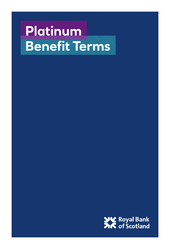# **Platinum Benefit Terms of the Communist Terms**

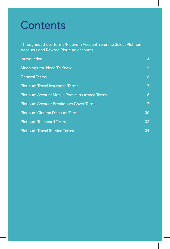## **Contents**

Throughout these Terms 'Platinum Account' refers to Select Platinum Accounts and Reward Platinum accounts.

| <b>Introduction</b>                           | $\overline{4}$ |
|-----------------------------------------------|----------------|
| <b>Meanings You Need To Know</b>              | 5              |
| <b>General Terms</b>                          | 6              |
| <b>Platinum Travel Insurance Terms</b>        | 7              |
| Platinum Account Mobile Phone Insurance Terms | 8              |
| Platinum Account Breakdown Cover Terms        | 17             |
| <b>Platinum Cinema Discount Terms</b>         | 30             |
| <b>Platinum Tastecard Terms</b>               | 32             |
| <b>Platinum Travel Service Terms</b>          | 34             |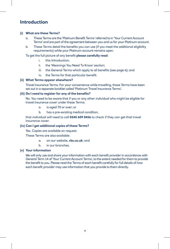## **Introduction**

#### **(i) What are these Terms?**

- a. These Terms are the 'Platinum Benefit Terms' referred to in 'Your Current Account Terms' and are part of the agreement between you and us for your Platinum account.
- b. These Terms detail the benefits you can use (if you meet the additional eligibility requirements) while your Platinum account remains open.

#### To get the full picture of any benefit **please carefully read**:

- i. this Introduction;
- ii. the 'Meanings You Need To Know' section;
- iii. the General Terms which apply to all benefits (see page 6); and
- iv. the Terms for that particular benefit.

#### **(ii) What Terms appear elsewhere?**

Travel insurance Terms. For your convenience while travelling, those Terms have been set out in a separate booklet called 'Platinum Travel Insurance Terms'.

#### **(iii) Do I need to register for any of the benefits?**

No. You need to be aware that if you or any other *individual* who might be eligible for travel insurance cover under these Terms:

- a. is aged 70 or over; or
- b. has a pre-existing medical condition,

that *individual* will need to call **0345 609 0456** to check if they can get that travel insurance cover.

#### **(iv) Can I get additional copies of these Terms?**

Yes. Copies are available on request.

These Terms are also available:

- a. on our website, **[rbs.co.uk](http://rbs.co.uk)**; and
- b. in our branches.

#### **(v) Your information**

We will only use and share your information with each *benefit provider* in accordance with General Term 14 of 'Your Current Account Terms', to the extent needed for them to provide the benefit to you. Please read the Terms of each benefit carefully for full details of how each *benefit provider* may use information that you provide to them directly.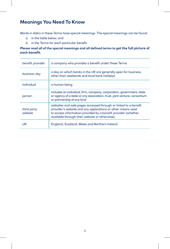## **Meanings You Need To Know**

Words in *italics* in these Terms have special meanings. The special meanings can be found:

- a. in the table below; and
- b. in the Terms for each particular benefit.

#### **Please read all of the special meanings and all defined terms to get the full picture of each benefit.**

| benefit provider       | a company who provides a benefit under these Terms                                                                                                                                                                                              |
|------------------------|-------------------------------------------------------------------------------------------------------------------------------------------------------------------------------------------------------------------------------------------------|
| business day           | a day on which banks in the UK are generally open for business,<br>other than weekends and local bank holidays                                                                                                                                  |
| individual             | a human being                                                                                                                                                                                                                                   |
| person                 | includes an <i>individual</i> , firm, company, corporation, government, state<br>or agency of a state or any association, trust, joint venture, consortium<br>or partnership of any kind                                                        |
| third party<br>website | websites and web pages accessed through or linked to a benefit<br>provider's website and any applications or other means used<br>to access information provided by a benefit provider (whether<br>available through their website or otherwise) |
| UK                     | England, Scotland, Wales and Northern Ireland                                                                                                                                                                                                   |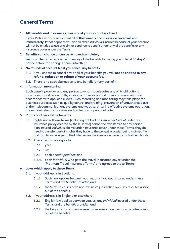## **General Terms**

#### 1. **All benefits and insurance cover stop if your account is closed**

If your Platinum account is closed **all of the benefits and insurance cover will end immediately**. If that happens you and all other *individuals* insured because of your account will not be entitled to use or claim or continue to benefit under any of the benefits or any insurance cover under the Terms.

#### 2. **Benefits can change or can be removed completely**

 We may alter or replace or remove any of the benefits by giving you at least **30 days' notice** before the changes come into effect.

#### 3. **No refunds of account fee if you cancel any benefits**

- 3.1. If you choose to cancel any or all of your benefits **you will not be entitled to any refund, reduction or rebate of your account fee**.
- 3.2. There is no cash alternative to any benefit (or any part of it).

#### 4. **Information monitoring**

Each *benefit provider* and any *person* to whom it delegates any of its obligations may monitor and record calls, emails, text messages and other communications in accordance with applicable laws. Such recording and monitoring may take place for business purposes such as quality control and training, prevention of unauthorised use of their telecommunications systems and website, ensuring effective systems operation, prevention/detection of crime and protection of personal data.

#### 5. **Rights of others to the benefits**

- 5.1. Rights under these Terms (including rights of an insured *individual* under any insurance policy created by these Terms) cannot be transferred to any *person*. If an insured *individual* claims under insurance cover under these Terms, they do need to transfer certain rights they have to the *benefit provider* being claimed from and that transfer is permitted. Please see the insurance benefits for further details.
- 5.2. These Terms give rights to:
	- 5.2.1. you;
	- 5.2.2. us;
	- 5.2.3. each *benefit provider*; and
	- 5.2.4. each *individual* who gets the travel insurance cover under the 'Platinum Travel Insurance Terms' and agrees to these Terms.

#### 6. **Laws which apply to these Terms**

- 6.1. If your address is in Scotland:
	- 6.1.1. Scots law applies between you, us, any *individual* insured under these Terms and the *benefit provider*; and
	- 6.1.2. the Scottish courts have non-exclusive jurisdiction over any disputes arising out of the benefits.
- 6.2. If your address is in England or elsewhere:
	- 6.2.1. English law applies between you, us, any *individual* insured under these Terms and the *benefit provider*; and
	- 6.2.2. the English courts have non-exclusive jurisdiction over any disputes arising out of the benefits.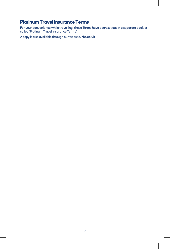## **Platinum Travel Insurance Terms**

For your convenience while travelling, these Terms have been set out in a separate booklet called 'Platinum Travel Insurance Terms'.

A copy is also available through our website, **[rbs.co.uk](http://rbs.co.uk)**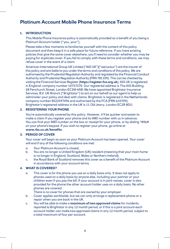## **Platinum Account Mobile Phone Insurance Terms**

#### **1. INTRODUCTION**

This Mobile Phone Insurance policy is automatically provided as a benefit of you being a Platinum Account holder ("you, your").

Please take a few moments to familiarise yourself with the content of this policy document and then keep it in a safe place for future reference. If you have existing policies that give the same cover elsewhere, you'll need to consider whether you may be paying for duplicate cover. If you fail to comply with these terms and conditions, we may refuse cover in the event of a claim.

American International Group UK Limited ("AIG UK")("we/us/our") are the insurer of this policy and are liable to you under the terms and conditions of this policy. We are authorised by the Prudential Regulation Authority and regulated by the Financial Conduct Authority and Prudential Regulation Authority (FRN 781109). This can be checked by visiting the Financial Services Register (**<https://register.fca.org.uk>**). AIG UK is registered in England: company number 10737370. Our registered address is The AIG Building, 58 Fenchurch Street, London EC3M 4AB. We have appointed Brightstar Insurance Services, B.V. UK Branch ("Brightstar") to act on our behalf as our agent to help us administer your policy and deal with claims. Brightstar is registered in the Netherlands: company number 8522597496 and authorised by the FCA (FRN 610709). Brightstar's registered address in the UK is 11 Old Jewry, London EC2R 8DU.

#### **2. REGISTERING YOUR PHONE**

You're automatically covered by this policy. However, it'll be quicker and easier to make a claim if you register your phone and its IMEI number with us in advance. You can find your IMEI number on the box or receipt for your phone, or by dialing \*#06# on your phone's keypad. If you wish to register your phone, go online at **[www.rbs.co.uk/benefits](http://www.rbs.co.uk/benefits)**.

#### **3. PERIOD OF COVER**

Your cover will begin as soon as your Platinum Account has been opened. Your cover will end if any of the following conditions are met:

- a. Your Platinum Account is closed;
- b. You are no longer a United Kingdom (UK) resident (meaning that your main home is no longer in England, Scotland, Wales or Northern Ireland);
- c. the Royal Bank of Scotland removes this cover as a benefit of the Platinum Account in accordance with your account terms.

#### **4. WHAT IS COVERED?**

a. This cover is for the phone you use on a daily basis only. It does not apply to phones used on a daily basis by anyone else, including your partner or your children even if you pay the bill. If your account is in joint names, cover is also provided for the phone the other account holder uses on a daily basis. No other phones are covered.

There is no cover for phones that are owned by your employer.

- b. Cover applies worldwide, but we can only arrange a replacement phone or a repair when you are back in the UK.
- c. You will be able to make a **maximum of two approved claims** for incidents reported to Brightstar in any 12 month period, or if this is a joint account each account holder can make two approved claims in any 12 month period, subject to a total maximum of four per account.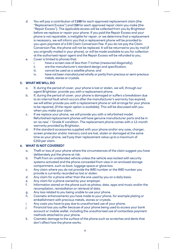- d. You will pay a contribution of £**100** for each approved replacement claim (the "Replacement Excess") and £**50** for each approved repair claim you make (the "Repair Excess"). The applicable excess will be collected from you by Brightstar before we replace or repair your phone. If you paid the Repair Excess and your phone is not repairable, is ineligible for repair, or we determine that a replacement is necessary, we will inform you that a replacement phone will be provided to you upon payment of a £50 Claim Conversion Fee. If you do not pay the Claim Conversion Fee, the phone will not be replaced. It will be returned to you by mail (if you originally mailed in your phone), or will be made available to you for collection at the authorised repair agent and the Repair Excess will be refunded to you**.**
- e. Cover is limited to phones that:
	- i. have a screen size of less than 7 inches (measured diagonally);
	- ii. are the manufacturer's standard design and specification;
	- iii. cannot be used as a satellite phone; and
	- iv. have not been manufactured wholly or partly from precious or semi-precious metals, stones or crystals.

#### **5. WHAT WE WILL DO**

- a. If, during the period of cover, your phone is lost or stolen, we will, through our agent Brightstar, provide you with a replacement phone.
- b. If, during the period of cover, your phone is damaged or suffers a breakdown due to an internal fault which occurs after the manufacturer's warranty has expired, we will either provide you with a replacement phone or will arrange for your phone to be repaired, (if the repair option is available). This will be discussed with you when you make your claim.
- c. If we replace your phone, we will provide you with a refurbished model. Refurbished replacement phones will have genuine manufacturer parts and be in an 'as new` / 'Grade A' condition. The replacement phone comes with a 12-month warranty provided by Brightstar**.**
- d. If the standard accessories supplied with your phone and/or any case, charger, screen protector and/or memory card are lost, stolen or damaged at the same time as your phone, we'll pay their replacement value up to a maximum of £250 per claim.

#### **6. WHAT IS NOT COVERED?**

- a. Theft or loss of your phone where the circumstances of the claim suggest you have deliberately put the phone at risk.
- b. Theft from an unattended vehicle unless the vehicle was locked with security systems activated and the phone concealed from view in an enclosed storage compartment, such as boot, luggage space or glove box.
- c. Any claim where you do not provide the IMEI number or the IMEI number you provide is currently recorded as lost or stolen.
- d. Any claim for a phone other than the one used by you on a daily basis.
- e. Any claim for a phone owned by your employer.
- f. Information stored on the phone such as photos, data, apps and music and/or the recompilation, reinstallation or retrieval of data.
- g. Any loss related to you being unable to use your phone.
- h. Cosmetic enhancements you have made to your phone, for example plating or embellishment with precious metals, stones or crystals.
- i. Any costs you have to pay due to unauthorised use of your phone.
- j. Financial loss you suffer because of your phone being used to access your bank account or mobile wallet, including the unauthorised use of contactless payment methods attached to your phone.
- k. Cosmetic damage to the surface of the phone such as scratches and dents that don't affect how the phone works.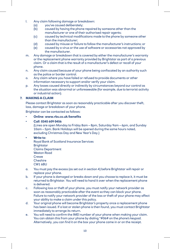- l. Any claim following damage or breakdown:
	- (a) you've caused deliberately;
	- (b) caused by having the phone repaired by someone other than the manufacturer or one of their authorised repair agents;
	- (c) caused by technical modifications made to the phone by someone other than the manufacturer;
	- (d) caused by misuse or failure to follow the manufacturer's instructions; or
	- (e) caused by a virus or the use of software or accessories not approved by the manufacturer.
- m. Any damage or breakdown that is covered by either the manufacturer's warranty or the replacement phone warranty provided by Brightstar as part of a previous claim. Or a claim that is the result of a manufacturer's defect or recall of your phone.
- n. Any claim caused because of your phone being confiscated by an authority such as the police or border control.
- o. Any claim where you have failed or refused to provide documents or other information necessary to support and/or verify your claim.
- p. Any losses caused directly or indirectly by circumstances beyond our control as the situation was abnormal or unforeseeable (for example, due to terrorist activity or industrial action).

#### **7. MAKING A CLAIM**

Please contact Brightstar as soon as reasonably practicable after you discover theft, loss, damage or breakdown of your phone.

Brightstar can be contacted as follows:

- **Online**: **www.rbs.co.uk/benefits**
- **Call**: **0345 609 0456**

 (Lines are open Monday to Friday 8am – 8pm, Saturday 9am – 6pm, and Sunday 10am – 5pm. Bank Holidays will be opened during the same hours noted, excluding Christmas Day and New Year's Day.)

#### • **Write to**:

- Royal Bank of Scotland Insurance Services **Brightstar** Claims Department Weston Road **Crewe Cheshire** CW1 6BU
- a. You must pay the excess (as set out in section 4) before Brightstar will repair or replace your phone.
- b. If your phone is damaged or breaks down and you choose to replace it, it must be returned to Brightstar. You will need to hand it over when the replacement phone is delivered.
- c. Following loss or theft of your phone, you must notify your network provider as soon as reasonably practicable after the event so they can block your phone. Failure to notify your network provider of the loss or theft of your phone may affect your ability to make a claim under this policy.
- d. Your original phone will become Brightstar's property once a replacement phone has been issued. If a lost or stolen phone is then found, you must contact Brightstar immediately to arrange its return.
- e. You will need to confirm the IMEI number of your phone when making your claim. You can obtain this from your phone by dialing \*#06# on the phone's keypad. Alternatively, you can find it on the box your phone came in or on the receipt.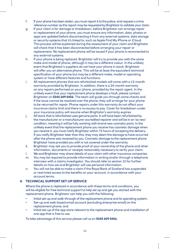- f. If your phone has been stolen, you must report it to the police, and request a crime reference number as this report may be requested by Brightstar to validate your claim.
- g. If your claim is for damage or breakdown, before Brightstar can arrange repair or replacement of your phone, you must ensure any information, data, photos or apps are updated before disconnecting it from any external systems, data storage or security systems that it's linked to, such as Apple Find My iPhone or iCloud. This process will be explained during the assessment of your claim and Brightstar will check that it has been disconnected before arranging your repair or replacement. No replacement phone will be issued if your phone is reconnected to any external systems.
- h. If your phone is being replaced, Brightstar will try to provide you with the same make and model of phone, although it may be a different colour. In the unlikely event that Brightstar's suppliers do not have your phone in stock, Brightstar will offer you an alternative phone. This will be at least the equivalent technical specification of your phone but may be a different make, model or operating system or have different features and functions.
- i. All replacement phones that are refurbished models will come with a 12-month warranty provided by Brightstar. In addition, there is a 24-month warranty on any repairs performed on your phone, provided by the repair agent. In the unlikely event that your replacement phone develops a fault, please contact Brightstar on **0345 609 0456**. The team will guide you through some checks and if the issue cannot be resolved over the phone, they will arrange for your phone to be returned for repair. Phone repairs under this warranty do not affect your insurance claims limit and there is no excess to pay. Cover for breakdown under your insurance policy will resume when Brightstar's warranty expires.
- j. All stock that is refurbished uses genuine parts. It will have been refurbished by the manufacturer or a manufacturer accredited repairer and will be in an 'as new' condition, meaning it will be fully working with brand new cosmetic parts. In the unlikely event that the replacement phone you receive has cosmetic damage when you receive it, you must notify Brightstar within 72 hours of accepting the delivery. If you notify Brightstar later than this, they may deem the damage to have occurred after the phone was received by you. Cosmetic damage to the replacement phone Brightstar have provided you with is not covered under the warranty.
- k. Brightstar may ask you to provide proof of your ownership of the phone and other information, documents or receipts reasonably necessary to verify your claim.
- l. We and Brightstar may share details of your claim with other insurance companies.
- m. You may be required to provide information in writing and/or through a telephone interview with a claims investigator. You should refer to section 15 for further details on how we and Brightstar will use personal information.
- n. You will not be able to make a claim if the Royal Bank of Scotland has suspended or restricted access to the benefits on your account, in accordance with your account terms.

#### **8. TECHNICAL SUPPORT SET-UP SERVICE**

Where the phone is replaced in accordance with these terms and conditions, you will be eligible for free technical support to help set up and get you started with the replacement phone. Brightstar can help you with the following:

- Initial set-up and walk-through of the replacement phone and its operating system;
- Set-up one web-based email account (excluding enterprise email) on the replacement phone; and
- Initial set-up of the app store relevant to the replacement phone and installation of one app that is free to use.

To take advantage of this service please call us on **0345 609 0456**.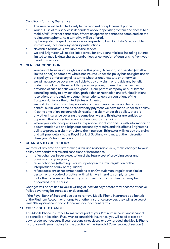#### *Conditions for using the service*

- a. The service will be limited solely to the repaired or replacement phone.
- b. Your full use of this service is dependent on your operating system and access to a mobile/WiFi internet connection. Where an operation cannot be completed on the replacement phone, no alternative will be offered.
- c. By taking advantage of this service you agree to follow Brightstar's reasonable instructions, including any security instructions.
- d. No cash alternative is available to the service.
- e. We and Brightstar will not be liable to you for any economic loss, including but not limited to; mobile data charges, and/or loss or corruption of data arising from your use of this service.

#### **9. GENERAL CONDITIONS**

- a. You cannot transfer your rights under this policy. A person, partnership (whether limited or not) or company who is not insured under the policy has no rights under this policy to enforce any of its terms whether under statute or otherwise.
- b. We will not provide cover nor be liable to pay any claim or provide any benefit under this policy to the extent that providing cover, payment of the claim or provision of such benefit would expose us, our parent company or our ultimate controlling entity to any sanction, prohibition or restriction under United Nations resolutions or the trade or economic sanctions, laws or regulations of the European Union or the United States of America.
- c. We and Brightstar may take proceedings at our own expense and for our own benefit, but in your name, to recover any payment we have made under this policy.
- d. If, at the time of an incident which results in a claim under this policy, there is any other insurance covering the same loss, we and Brightstar are entitled to approach that insurer for a contribution towards the claim.
- e. Where you fail to co-operate or fail to provide Brightstar and us with information or documentation we and Brightstar reasonably require and this affects Brightstar's ability to process a claim or defend their interests, Brightstar will not pay the claim and will pass details to the Royal Bank of Scotland who may, at their discretion, close your Platinum Account.

#### **10. CHANGES TO YOUR POLICY**

We may, at any time and after taking a fair and reasonable view, make changes to your policy cover and/or terms and conditions of insurance to:

- a. reflect changes in our expectation of the future cost of providing cover and administering your policy;
- b. reflect changes (affecting us or your policy) in the law, regulation or the interpretation of law or regulation;
- c. reflect decisions or recommendations of an Ombudsman, regulator or similar person, or any code of practice, with which we intend to comply; and/or
- d. make them clearer and fairer to you or to rectify any mistakes that may be discovered in due course.

Changes will be notified to you in writing at least 30 days before they become effective. Policy cover may be increased or decreased.

If the Royal Bank of Scotland decides to remove Mobile Phone Insurance as a benefit of the Platinum Account or change to another insurance provider, they will give you at least 30 days' notice in accordance with your account terms.

#### **11. YOUR RIGHT TO CANCEL**

This Mobile Phone Insurance forms a core part of your Platinum Account and it cannot be cancelled in isolation. If you wish to cancel this insurance, you will need to close or downgrade your account. If your account is not closed or downgraded, the Mobile Phone Insurance will remain active for the duration of the Period of Cover set out at section 3.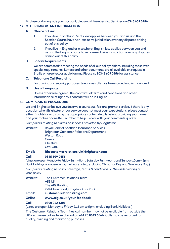To close or downgrade your account, please call Membership Services on **0345 609 0456**.

#### **12. OTHER IMPORTANT INFORMATION**

#### **A. Choice of Law**

- 1. If you live in Scotland, Scots law applies between you and us and the Scottish Courts have non-exclusive jurisdiction over any disputes arising out of this policy.
- 2. If you live in England or elsewhere, English law applies between you and us and the English courts have non-exclusive jurisdiction over any disputes arising out of this policy.

#### **B. Special Requirements**

 We are committed to meeting the needs of all our policyholders, including those with special requirements. Letters and other documents are all available on request in Braille or large text or audio format. Please call **0345 609 0456** for assistance.

#### **C. Telephone Call Recording**

For training and security purposes, telephone calls may be recorded and/or monitored.

#### **D. Use of Language**

 Unless otherwise agreed, the contractual terms and conditions and other information relating to this contract will be in English.

#### **13. COMPLAINTS PROCEDURE**

We and Brightstar believe you deserve a courteous, fair and prompt service. If there is any occasion when Brightstar or our service does not meet your expectations, please contact either Brightstar or us using the appropriate contact details below, providing your name and your mobile phone IMEI number to help us deal with your comments quickly.

*Complaints relating to claims or services provided by Brightstar*

**Write to**: Royal Bank of Scotland Insurance Services Brightstar Customer Relations Department Weston Road **Crewe Cheshire** CW1 6BU

**Email**: **[Rbscustomerrelations.uk@brightstar.com](mailto:Rbscustomerrelations.uk@brightstar.com)**

**Call**: **0345 609 0456**

(Lines are open Monday to Friday 8am – 8pm, Saturday 9am – 6pm, and Sunday 10am – 5pm. Bank Holidays are open during the hours noted, excluding Christmas Day and New Year's Day.)

*Complaints relating to policy coverage, terms & conditions or the underwriting of your policy*

**Write to**: The Customer Relations Team, AIG UK The AIG Building 2-8 Altyre Road, Croydon, CR9 2LG **Email**: **[customer.relations@aig.com](mailto:customer.relations@aig.com) Online**: **[www.aig.co.uk/your-feedback](C:\\Users\\kchilders\\Documents\\www.aig.co.uk\\your-feedback) Call: 0800 012 1301**

(Lines are open Monday to Friday 9.15am to 5pm, excluding Bank Holidays.)

The Customer Relations Team free call number may not be available from outside the UK – so please call us from abroad on **+44 20 8649 6666**. Calls may be recorded for quality, training and monitoring purposes.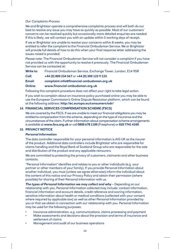#### *Our Complaints Process*

We and Brightstar operate a comprehensive complaints process and will both do our best to resolve any issue you may have as quickly as possible. Most of our customers' concerns can be resolved quickly but occasionally more detailed enquiries are needed. If this is likely, we will contact you with an update within 5 working days of receipt.

If we or Brightstar are unable to resolve your concerns within 8 weeks, you may be entitled to refer the complaint to the Financial Ombudsman Service. We or Brightstar will provide full details of how to do this when your final response letter addressing the issues raised is provided.

Please note: The Financial Ombudsman Service will not consider a complaint if you have not provided us with the opportunity to resolve it previously. The Financial Ombudsman Service can be contacted at:

**Write to**: Financial Ombudsman Service, Exchange Tower, London, E14 9SR

#### **Call**: **+44 (0) 800 234 567** or **+44 (0) 300 123 9 123**.

#### **Email**: **[complaint.info@financial-ombudsman.org.uk](mailto:complaint.info@financial-ombudsman.org.uk)**

#### **Online**: **[www.financial-ombudsman.org.uk](http://www.financial-ombudsman.org.uk)**

Following this complaint procedure does not affect your right to take legal action.

If you wish to complain about an insurance policy purchased online you may be able to use the European Commission's Online Dispute Resolution platform, which can be found at the following address: **<http://ec.europa.eu/consumers/odr/>**

#### **14. FINANCIAL SERVICES COMPENSATION SCHEME (FSCS)**

We are covered by the FSCS. If we are unable to meet our financial obligations you may be entitled to compensation from the scheme, depending on the type of insurance and the circumstances of the claim. Further information about compensation scheme arrangements is available at **[www.fscs.org.uk](http://www.fscs.org.uk)** or call **0800 678 1100** (Freephone) or **020 7741 4100**.

#### **15. PRIVACY NOTICE**

#### *Personal Information*

The data controller responsible for your personal information is AIG UK as the insurer of the product. Additional data controllers include Brightstar who are responsible for claims handling and the Royal Bank of Scotland Group who are responsible for the sale and distribution of the product and any applicable reinsurers.

We are committed to protecting the privacy of customers, claimants and other business contacts.

"Personal Information" identifies and relates to you or other individuals (e.g. your partner or other members of your family). If you provide Personal Information about another individual, you must (unless we agree otherwise) inform the individual about the content of this notice and our Privacy Policy and obtain their permission (where possible) for sharing of their Personal Information with us.

*The types of Personal Information we may collect and why* – Depending on our relationship with you, Personal Information collected may include: contact information, financial information and account details, credit reference and scoring information, sensitive information about health or medical conditions (collected with your consent where required by applicable law) as well as other Personal Information provided by you or that we obtain in connection with our relationship with you. Personal Information may be used for the following purposes:

- Insurance administration, e.g. communications, claims processing and payment
- Make assessments and decisions about the provision and terms of insurance and settlement of claims
- Management and audit of our business operations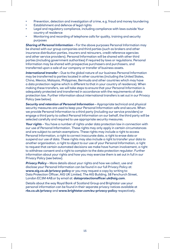- Prevention, detection and investigation of crime, e.g. fraud and money laundering
- Establishment and defence of legal rights
- Legal and regulatory compliance, including compliance with laws outside Your country of residence
- Monitoring and recording of telephone calls for quality, training and security purposes

*Sharing of Personal Information* – For the above purposes Personal Information may be shared with our group companies and third parties (such as brokers and other insurance distribution parties, insurers and reinsurers, credit reference agencies and other service providers). Personal Information will be shared with other third parties (including government authorities) if required by laws or regulations. Personal Information may be shared with prospective purchasers and purchasers, and transferred upon a sale of our company or transfer of business assets.

*International transfer* – Due to the global nature of our business Personal Information may be transferred to parties located in other countries (including the United States, China, Mexico, Malaysia, Philippines, Bermuda and other countries which may have a data protection regime which is different to that in your country of residence). When making these transfers, we will take steps to ensure that your Personal Information is adequately protected and transferred in accordance with the requirements of data protection law. Further information about international transfers is set out in our Privacy Policy (see below).

**Security and retention of Personal Information** – Appropriate technical and physical security measures are used to keep your Personal Information safe and secure. When we provide Personal Information to a third party (including our service providers) or engage a third party to collect Personal Information on our behalf, the third party will be selected carefully and required to use appropriate security measures.

*Your rights* – You have a number of rights under data protection law in connection with our use of Personal Information. These rights may only apply in certain circumstances and are subject to certain exemptions. These rights may include a right to access Personal Information, a right to correct inaccurate data, a right to erase data or suspend our use of data. These rights may also include a right to transfer your data to another organisation, a right to object to our use of your Personal Information, a right to request that certain automated decisions we make have human involvement, a right to withdraw consent and a right to complain to the data protection regulator. Further information about your rights and how you may exercise them is set out in full in our Privacy Policy (see below).

**Privacy Policy** – More details about your rights and how we collect, use and disclose your Personal Information can be found in our full Privacy Policy at: **[www.aig.co.uk/privacy-policy](http://www.aig.co.uk/privacy-policy)** or you may request a copy by writing to: Data Protection Officer, AIG UK Limited, The AIG Building, 58 Fenchurch Street, London EC3M 4AB.or by email at: **[dataprotectionofficer.uk@aig.com](mailto:dataprotectionofficer.uk@aig.com)**.

Details about the way Royal Bank of Scotland Group and Brightstar use your personal information can be found in their separate privacy notices available at **[rbs.co.uk/privacy](http://rbs.co.uk/privacy)** and **[www.brightstar.com/eu-privacy-policy](http://www.brightstar.com/eu-privacy-policy)** respectively.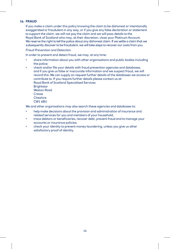#### **16. FRAUD**

If you make a claim under this policy knowing the claim to be dishonest or intentionally exaggerated or fraudulent in any way, or if you give any false declaration or statement to support the claim, we will not pay the claim and we will pass details to the Royal Bank of Scotland who may, at their discretion, close your Platinum Account. We reserve the right to tell the police about any dishonest claim. If we settle a claim that we subsequently discover to be fraudulent, we will take steps to recover our costs from you.

#### *Fraud Prevention and Detection*

In order to prevent and detect fraud, we may, at any time:

- share information about you with other organisations and public bodies including the police;
- check and/or file your details with fraud prevention agencies and databases, and if you give us false or inaccurate information and we suspect fraud, we will record this. We can supply on request further details of the databases we access or contribute to. If you require further details please contact us at: Royal Bank of Scotland Specialised Services **Brightstar** Weston Road Crewe Cheshire CW1 6BU

We and other organisations may also search these agencies and databases to:

- help make decisions about the provision and administration of insurance and related services for you and members of your household;
- trace debtors or beneficiaries, recover debt, prevent fraud and to manage your accounts or insurance policies;
- check your identity to prevent money laundering, unless you give us other satisfactory proof of identity.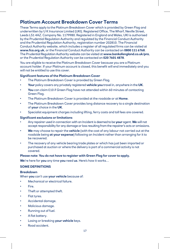## **Platinum Account Breakdown Cover Terms**

These Terms apply to the Platinum Breakdown Cover which is provided by Green Flag and underwritten by U K Insurance Limited (UKI). Registered Office, The Wharf, Neville Street, Leeds LS1 4AZ. Company No. 1179980. Registered in England and Wales, UKI is authorised by the Prudential Regulation Authority and regulated by the Financial Conduct Authority and the Prudential Regulation Authority, registration number 202810. The Financial Conduct Authority website, which includes a register of all regulated firms can be visited at **[www.fca.org.uk](http://www.fca.org.uk/)**, or the Financial Conduct Authority can be contacted on **0800 111 6768**. The Prudential Regulation Authority website can be visited at **[www.bankofengland.co.uk/pra](http://www.bankofengland.co.uk/pra)**, or the Prudential Regulation Authority can be contacted on **020 7601 4878**.

You are eligible to receive the Platinum Breakdown Cover because you are a Platinum account holder. If your Platinum account is closed, this benefit will end immediately and you will not be entitled to use this cover.

#### **Significant features of the Platinum Breakdown Cover**

- The Platinum Breakdown Cover is provided by Green Flag.
- **Your** policy covers any privately registered **vehicle you** travel in, anywhere in the **UK**.
- **You** can claim £10 if Green Flag have not attended within 60 minutes of contacting Green Flag.
- The Platinum Breakdown Cover is provided at the roadside or at **Home**.
- The Platinum Breakdown Cover provides long distance recovery to a single destination of **your** choice in the **UK**.
- Specialist equipment charges including lifting, ferry costs and toll fees are covered.

#### **Significant exclusions or limitations**

- Any repairer used in connection with an Incident is deemed to be **your** agent. **We** will not accept responsibility for any damage or loss resulting from the repairer's acts or omissions.
- **We** may choose to repair the **vehicle** (with the cost of any labour not carried out at the roadside being **at your expense**) following an Incident rather than arranging for it to be recovered.
- The recovery of any vehicle bearing trade plates or which has just been imported or purchased at auction or where the delivery is part of a commercial activity is not covered.

#### **Please note: You do not have to register with Green Flag for cover to apply.**

**We**'re here for **you** any time **you** need **us**. Here's how it works…

#### **SOME DEFINITIONS**

#### **Breakdown**

When **you** can't use **your vehicle** because of:

- Mechanical or electrical failure.
- Fire.
- Theft or attempted theft.
- Flat tyres.
- Accidental damage.
- Malicious damage.
- Running out of fuel.
- A flat battery.
- Losing or breaking **your vehicle** keys.
- Road accident.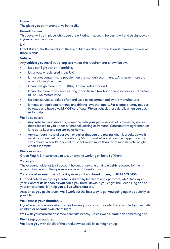#### **Home**

The place **you** permanently live in the **UK**.

#### **Period of cover**

This cover will be in place whilst **you** are a Platinum account holder. It will end straight away if **your** account is closed.

#### **UK**

Great Britain, Northern Ireland, the Isle of Man and the Channel Islands if **you** live on one of those islands.

#### **Vehicle**

Any **vehicle you** travel in, as long as it meets the requirements shown below.

- It's a car, light van or motorbike.
- It's privately registered in the **UK**.
- It must not contain more people than the manual recommends. And never more than nine including the driver.
- It can't weigh more than 3,500kg. This includes any load.
- It can't be more than 7 metres long (apart from a tow bar or coupling device), 3 metres tall or 2.55 metres wide.
- It's been serviced, looked after and used as recommended by the manufacturer.
- It meets all legal requirements and driving laws that apply. For example it may need to be taxed and have a valid MOT certificate. **We** can check these details when **you** ask **us** for help.

**We**'ll also cover:

- Any **vehicle** being driven by someone with **your** permission that is owned by **you** or that is leased to **you** under a Personal Leasing or Personal Contract Hire agreement as long as it's kept and registered at **home**.
- Any standard make of caravan or trailer that **you** are towing when it breaks down. It must be connected using an ordinary 50mm tow-ball and it can't be bigger than the sizes above. When it's loaded it must not weigh more than the towing **vehicle** weighs when it is empty.

#### **We** or **us** or **our**

Green Flag, U K Insurance Limited, or anyone working on behalf of them.

#### **You** or **your**

The account holder or joint account holder, or anyone driving a **vehicle** owned by the account holder with their permission, when it breaks down.

#### **You can call us any time of the day or night if you break down, on 0345 609 0456.**

**Our** dedicated Emergency Centre is staffed by highly trained operators, 24/7, 365 days a year. Contact **us** as soon as **you** can if **you** break down. If you've got the Green Flag app on your smartphone, it'll help **you** tell **us** where **you** are.

As soon as **you** get in touch, **we**'ll work out the best way to get **you** going again as quickly as possible.

#### **We'll assess your situation…**

If **you**'re in a vulnerable situation **we**'ll make **your** call our priority. For example if **you**'re with children or on **your** own late at night.

Wait with **your vehicle** or somewhere safe nearby, unless **we** ask **you** to do something else.

#### **We'll keep you updated.**

**We**'ll text **you** with details of the breakdown specialist coming to help.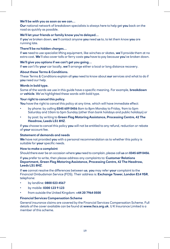#### **We'll be with you as soon as we can…**

**Our** national network of breakdown specialists is always here to help get **you** back on the road as quickly as possible.

#### **We'll let your friends or family know you're delayed…**

If **you**'ve broken down, **we**'ll contact anyone **you** need **us** to, to let them know **you** are running late.

#### **There'll be no hidden charges…**

If **we** need to use specialist lifting equipment, like winches or skates, **we**'ll provide them at no extra cost. **We**'ll also cover tolls or ferry costs **you** have to pay because **you**'ve broken down.

#### **We'll give you options if we can't get you going…**

If **we** can't fix **your** car locally, **we**'ll arrange either a local or long distance recovery.

#### **About these Terms & Conditions.**

These Terms & Conditions explain all **you** need to know about **our** services and what to do if **you** need our help.

#### **Words in bold type.**

Some of the words we use in this guide have a specific meaning. For example, **breakdown**  or **vehicle**. We've highlighted these words with bold type.

#### **Your right to cancel this policy.**

**You** have the right to cancel this policy at any time, which will have immediate effect:

- by phone: by calling **0345 609 0456** 8am to 8pm Monday to Friday, 9am to 5pm Saturday and 10am to 5pm Sunday (other than bank holidays and public holidays) or
- by post: by writing to **Green Flag Motoring Assistance, Processing Centre, 42 The Headrow, Leeds LS1 8HZ**.

If **you** choose to cancel this policy **you** will not be entitled to any refund, reduction or rebate of **your** account fee.

#### **Statement of demands and needs**

**We** have not provided **you** with a personal recommendation as to whether this policy is suitable for **your** specific needs.

#### **How to make a complaint**

Should there ever be an occasion where **you** need to complain, please call **us** on **0345 609 0456**.

If **you** prefer to write, then please address any complaints to: **Customer Relations Department, Green Flag Motoring Assistance, Processing Centre, 42 The Headrow, Leeds LS1 8HZ**.

If **we** cannot resolve the differences between **us**, **you** may refer **your** complaint to the Financial Ombudsman Service (FOS). Their address is: **Exchange Tower, London E14 9SR**, telephone:

- by landline: **0800 023 4567**
- by mobile: **0300 123 9 123**
- from outside the United Kingdom: **+44 20 7964 0500**

#### **Financial Services Compensation Scheme**

General insurance claims are covered by the Financial Services Compensation Scheme. Full details of the cover available can be found at **[www.fscs.org.uk](http://www.fscs.org.uk/)**. U K Insurance Limited is a member of this scheme.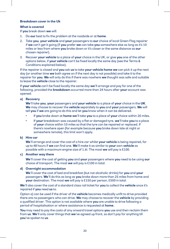#### **Breakdown cover in the Uk**

#### **What is covered**

If **you** break down **we** will:

- 1. Do **our** best to fix the problem at the roadside or at **home**.
- 2. Take **you**, **your vehicle** and **your** passengers to **our** choice of local Green Flag repairer if **we** can't get it going (if **you** prefer **we** can take **you** somewhere else as long as it's 10 miles or less from where **you** broke down or it's closer or the same distance as **our**  chosen repairer).
- 3. Recover **your vehicle** to a place of **your** choice in the UK, or give **you** one of the other options below, if **your vehicle** can't be fixed locally the same day (see the Terms & Conditions explained below).

If the repairer is closed and **you** ask **us** to take **your vehicle home we** can pick it up the next day (or another time **we** both agree on if the next day is not possible) and take it to the repairer for **you**. **We** will only do this if there was nowhere **we** thought was safe and suitable to leave the **vehicle** close to the repairer.

If **your vehicle** can't be fixed locally the same day **we**'ll arrange and pay for one of the following, provided the **breakdown** occurred more than 24 hours after **your** account was opened:

#### **a) Recovery**

**We**'ll take **you**, **your** passengers and **your vehicle** to a place of **your** choice in the **UK**. **We** may choose to recover the **vehicle** separately to **you** and **your** passengers. **We** will tell **you** if **we** are going to do this and let **you** know when it can be delivered.

- If **you** broke down at **home we**'ll take **you** to a place of **your** choice within 20 miles.
- If **your** breakdown was caused by a flat or damaged tyre, **we**'ll take **you** to a place of **your** choice within 10 miles so that the tyre can be repaired or replaced. If there's nowhere open (for example because **you** broke down late at night or somewhere remote), this limit won't apply.

#### **b) Hire car**

**We**'ll arrange and cover the cost of a hire car whilst **your vehicle** is being repaired, for up to 48 hours if **we** can find one. **We**'ll make it as similar to **your** own **vehicle** as possible with a maximum engine size of 1.6l. The most **we** will pay is £100.

#### **c) Another way there**

**We**'ll cover the cost of getting **you** and **your** passengers where **you** need to be using **our**  choice of transport. The most **we** will pay is £100 in total.

#### **d) Overnight accommodation**

**We**'ll cover the cost of bed and breakfast (but not alcoholic drinks) for **you** and **your**  passengers. **We**'ll do this as long as **you** broke down more than 25 miles from home and **your** destination. The most **we** will pay is £150 per person, £500 in total.

**We**'ll also cover the cost of a standard class rail ticket for **you** to collect the **vehicle** once it's repaired if **you** need **us** to.

Option a) can be used if the driver of the **vehicle** becomes medically unfit to drive provided there are no passengers who can drive. **We** may choose to recover the **vehicle** by providing a qualified driver. This option is not available where **you** are unable to drive following a period of hospitalisation or where assistance is requested at **home**.

**You** may need to pay the costs of any onward travel options **you** use and then reclaim them from **us**. **We**'ll only cover things that **we**'ve agreed up front, so don't pay for anything till **you**'ve spoken to **us**.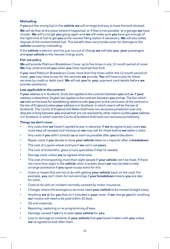#### **Misfuelling**

If **you** put the wrong fuel in the **vehicle we** will arrange and pay to have the tank drained.

**We** will do that at the place where it happened, or if that is not possible, at a garage **we** have chosen. **We** will try to get **you** going again and **we** will make sure **you** have got enough of the right kind of fuel to get **you** to the nearest filling station if necessary. **We** will also safely dispose of the contaminated fuel. This benefit does not provide cover for damage to the **vehicle** caused by misfuelling.

If the **vehicle** is electric and has just run out of charge **we** will take **you**, **your** passengers and **your vehicle** to the nearest charge point.

#### **Fair use policy**

**We** will provide Platinum Breakdown Cover up to five times in any 12 month period of cover. **We** may write and tell **you** when **you** have reached that limit.

If **you** need Platinum Breakdown Cover more than five times within the 12 month period of cover, **you** may have to pay for the services **we** provide. **You** will have to pay for these services by credit or debit card. **We** will ask **you** for **you**r payment card details before **we**  provide assistance.

#### **Law applicable to the contract**

If **your** address is in Scotland, Scots law applies to the contract between **you** and **us**. If **your**  address is elsewhere, English law applies to the contract between **you** and **us**. The law which **we** take as the basis for establishing relations with **you** prior to the conclusion of the contract is the law of England (unless **your** address is in Scotland, in which case it will be the law of Scotland). The Courts of England and Wales shall have non-exclusive jurisdiction over any disputes arising between **you** and **us** that are not resolved by other means (unless **your** address is in Scotland, in which case the Courts of Scotland shall have non-exclusive jurisdiction).

#### **Things we don't cover**

- Any costs that **we** haven't agreed to pay in advance. If **we** do agree to pay costs **you**  must keep all receipts and invoices as **we** may ask for these before **we** settle a claim.
- Any costs if **you** didn't contact **us** as soon as possible after **you** broke down.
- Repair costs if **you** decide to have **your vehicle** taken to a repairer after a **breakdown**.
- The cost of a spare wheel and tyre if **we** can't use **your**s.
- The cost of locksmiths, glass or tyre specialists if they're needed.
- Storage costs unless **we**'ve agreed otherwise.
- The cost of transporting more than eight people if **your vehicle** can't be fixed. If there are more than eight in the **vehicle** when it breaks down **we** may be able to help arrange assistance if **you** agree to pay extra for this.
- Costs or losses that are not to do with getting **your vehicle** back on the road. For example, **you** can't claim for lost earnings if **your breakdown** means **you** are late for work.
- Costs to do with an incident normally covered by motor insurance.
- Charges where the emergency services need **your vehicle** to be moved straight away.
- Anything **we** do for **you** that isn't included in **your** cover. If **we** charge **you** for anything **our** invoice will need to be paid within 30 days.
- Oil and materials.
- Repairing, replacing or re-programming of keys.
- Damage caused if **we** try to open **your vehicle** for **you**.
- Loss or damage to contents of **your vehicle** that **you** haven't taken with **you** unless **we**'ve agreed to look after them.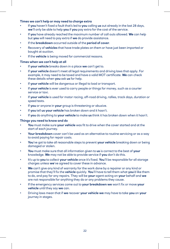#### **Times we can't help or may need to charge extra**

- If **you** haven't fixed a fault that's led to **you** calling **us** out already in the last 28 days, **we**'ll only be able to help **you** if **you** pay extra for the cost of the service.
- If **you** have already reached the maximum number of call outs allowed. **We** can help but **you** will need to pay extra if **we** do provide assistance.
- If the **breakdown** occurred outside of the **period of cover**.
- Recovery of **vehicles** that have trade plates on them or have just been imported or bought at auction.
- If the **vehicle** is being moved for commercial reasons.

#### **Times when we can't help at all**

- If **your vehicle** breaks down in a place **we** can't get to.
- If **your vehicle** doesn't meet all legal requirements and driving laws that apply. For example, it may need to be taxed and have a valid MOT certificate. **We** can check these details when **you** ask **us** for help.
- If **your vehicle** will be dangerous or illegal to load or transport.
- If your vehicle is ever used to carry people or things for money, such as a courier service or taxi.
- If **your vehicle** is used for motor racing, off-road driving, rallies, track days, duration or speed tests.
- If **you** or anyone in **your** group is threatening or abusive.
- If **you** tell **us your vehicle** has broken down and it hasn't.
- If **you** do anything to **your vehicle** to make **us** think it has broken down when it hasn't.

#### **Things you need to know and do**

- **You** must make sure **your vehicle** was fit to drive when the cover started and at the start of each journey.
- Your breakdown cover can't be used as an alternative to routine servicing or as a way to avoid paying for repair costs.
- **You**'ve got to take all reasonable steps to prevent **your vehicle** breaking down or being damaged or stolen.
- **You** must make sure that all information given to **us** is correct to the best of **your**  knowledge. **We** may not be able to provide service if **you** don't do this.
- It's up to **you** to collect **your vehicle** once it's fixed. **You**'ll be responsible for all storage charges unless **we**'ve agreed to cover these in advance.
- We can't give any kind of warranty for the work done by a repairer or any kind or promise that they'll fix the **vehicle** quickly. **You**'ll have to tell them what **you**'d like them to do, and pay for any repairs. They will be **your** agent acting on **your** behalf and **we**  are not responsible for anything they do or any problems they cause.
- If the emergency services come out to **your breakdown we** won't fix or move **your vehicle** until they say **we** can.
- Driving laws mean that if **we** recover **your vehicle we** may have to take **you** on **your**  journey in stages.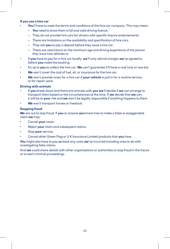#### **If you use a hire car**

- **You**'ll have to meet the terms and conditions of the hire car company. This may mean:
	- **You** need to show them a full and valid driving licence.
	- They do not provide hire cars for drivers with specific licence endorsements.
	- There are limitations on the availability and specification of hire cars.
	- They ask **you** to pay a deposit before they issue a hire car.
	- There are restrictions on the minimum age and driving experience of the person they issue hire vehicles to.
- If **you** have to pay for a hire car locally, **we**'ll only refund charges **we**'ve agreed to before **you** make the booking.
- It's up to **you** to collect the hire car. **We** can't guarantee it'll have a roof rack or tow bar.
- We won't cover the cost of fuel, oil, or insurance for the hire car.
- **We** won't provide cover for a hire car if **your vehicle** is just in for a routine service, or for repair work.

#### **Driving with animals**

- If **you** break down and there are animals with **you we**'ll decide if **we** can arrange to transport them based on the circumstances at the time. If **we** decide that **we** can, it will be at **your** risk and **we** won't be legally responsible if anything happens to them.
- **We** won't transport horses or livestock.

#### **Stopping fraud**

**We** are out to stop fraud. If **you** or anyone **you** know tries to make a false or exaggerated claim **we** may:

- Cancel **your** cover.
- Reject **your** claim and subsequent claims.
- Stop **your** service.
- Cancel other Green Flag or U K Insurance Limited products that **you** have.

**You** might also have to pay **us** back any costs **we**'ve incurred including ones to do with investigating false claims.

And **we** could share details with other organisations or authorities to stop fraud in the future or to start criminal proceedings.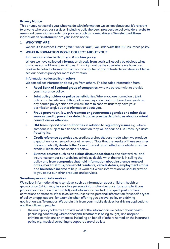#### **Privacy Notice**

This privacy notice tells you what we do with information we collect about you. It's relevant to anyone who uses our services, including policyholders, prospective policyholders, website users and beneficiaries under our policies, such as named drivers. We refer to all these individuals as "**customers**" or "**you**" in this notice.

#### **1. WHO "WE" ARE**

We are U K Insurance Limited ("**we**", "**us**" or "**our**"). We underwrite this RBS insurance policy.

#### **2. WHAT INFORMATION DO WE COLLECT ABOUT YOU?**

#### **Information collected from you & cookies policy**

Where we have collected information directly from you it will usually be obvious what this is, as you will have given it to us. This might not be the case where we have used cookies to collect information from your computer or portable electronic devices. Please see our cookies policy for more information.

#### **Information collected from others**

We can collect information about you from others. This includes information from:

- **Royal Bank of Scotland group of companies,** who we partner with to provide your insurance policy.
- **Joint policyholders or policy beneficiaries**. Where you are named on a joint policy or a beneficiary of that policy we may collect information about you from any named policyholder. We will ask them to confirm that they have your permission to give us this information about you.
- **Fraud prevention, law enforcement or government agencies and other data sources used to prevent or detect fraud or provide details to us about criminal convictions or offences.**
- **HM Treasury and other authorities in relation to regulatory issues** e.g. where someone is subject to a financial sanction they will appear on HM Treasury's asset freezing list.
- **Credit reference agencies** e.g. credit searches that are made when we produce a quotation for a new policy or at renewal. (Note that the results of these searches are automatically deleted after 12 months and do not affect your ability to obtain credit.) Please also see section 4 below.
- **External sources** such as **no claims discount databases**, the electoral roll and insurance comparison websites to help us decide what the risk is in selling the policy **and from companies that hold information about insurance renewal dates, marital status, household residents, vehicle details, employment status and household income** to help us work out which information we should provide to you about our other products and services.

#### **Sensitive personal information**

We collect information that is sensitive, such as information about children, health or geo-location (which may be sensitive personal information because, for example, it can pinpoint your location at a hospital), and information related to unspent past criminal convictions or offences. We also collect your sensitive personal information for specific types of policy or applications, for example when offering you a travel policy or a driving application e.g. Telematics. We obtain this from your mobile devices for driving applications and the following people:

• the main policyholder will provide most of the information we collect about health (including confirming whether hospital treatment is being sought) and unspent criminal convictions or offences, including on behalf of others named on the insurance policy e.g. medical screening to support a travel policy;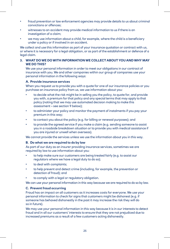- fraud prevention or law enforcement agencies may provide details to us about criminal convictions or offences;
- witnesses to an accident may provide medical information to us if there is an investigation of a claim;
- we may use information about a child, for example, where the child is a beneficiary under a policy or if involved in an accident.

We collect and use this information as part of your insurance quotation or contract with us, or where it is necessary for a legal obligation, or as part of the establishment or defence of a legal claim.

#### **3. WHAT DO WE DO WITH INFORMATION WE COLLECT ABOUT YOU AND WHY MAY WE DO THIS?**

We use your personal information in order to meet our obligations in our contract of insurance with you. We and other companies within our group of companies use your personal information in the following ways:

#### **A. Provide insurance services**

When you request us to provide you with a quote for one of our insurance policies or you purchase an insurance policy from us, we use information about you:

- to decide what the risk might be in selling you the policy, to quote for, and provide you with, a premium for that policy and any special terms that may apply to that policy (noting that we may use automated decision making to make this assessment – see section 9 below);
- to administer your policy and monitor the payment of instalments if you pay your premium in this way;
- to contact you about the policy (e.g. for billing or renewal purposes); and
- to provide the agreed service if you make a claim (e.g. sending someone to assist you in a roadside breakdown situation or to provide you with medical assistance if you are injured or unwell when overseas).

We cannot provide the services unless we use the information about you in this way.

#### **B. Do what we are required to do by law**

As part of our duty as an insurer providing insurance services, sometimes we are required by law to use information about you:

- to help make sure our customers are being treated fairly (e.g. to assist our regulators where we have a legal duty to do so);
- to deal with complaints:
- to help prevent and detect crime (including, for example, the prevention or detection of fraud); and
- to comply with a legal or regulatory obligation.

We can use your personal information in this way because we are required to do so by law.

#### **C. Prevent fraud occurring**

Fraud has an impact on all customers as it increases costs for everyone. We use your personal information to check for signs that customers might be dishonest (e.g. if someone has behaved dishonestly in the past it may increase the risk they will do so in future).

We may use your personal information in this way because it is in our interests to detect fraud and in all our customers' interests to ensure that they are not prejudiced due to increased premiums as a result of a few customers acting dishonestly.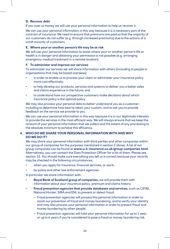#### **D. Recover debt**

If you owe us money we will use your personal information to help us recover it.

We can use your personal information in this way because it is a necessary part of the contract of insurance. We need to ensure that premiums are paid so that the majority of our customers do not suffer (e.g. through increased premiums) due to the actions of a small minority of customers.

#### **E. Where your or another person's life may be at risk**

We will use your personal information to assist where your or another person's life or health is in danger and obtaining your permission is not possible (e.g. arranging emergency medical treatment in a remote location).

#### **F. To administer and improve our services**

To administer our services we will share information with others (including to people or organisations that may be based overseas):

- in order to enable us to process your claim or administer your insurance policy more cost effectively;
- to help develop our products, services and systems to deliver you a better sales and claims experience in the future; and
- to understand how our prospective customers make decisions about which insurance policy is the optimal policy.

We may also process your personal data to better understand you as a customer, including to determine how best to retain your custom, and to ask you to provide feedback on the service we provide to you.

We can use your personal information in this way because it is in our legitimate interests to provide the services in the most efficient way. We will always ensure that we keep the amount of your personal information that we collect and the extent of any processing to the absolute minimum to achieve this efficiency.

#### **4. WHO DO WE SHARE YOUR PERSONAL INFORMATION WITH AND WHY DO WE DO IT?**

We may share your personal information with third parties and other companies within our group of companies for the purposes mentioned in section 3 above. A list of our group companies can be found at **[www.u-k-insurance.co.uk/group-companies.html](http://www.u-k-insurance.co.uk/group-companies.html)**. Alternatively, you can contact the Data Protection Officer for a list of them. Please see section 10. You should make sure everything you tell us is correct because your records may be checked in the following circumstances:

- when you apply for insurance, financial services, or work;
- by police and other law enforcement agencies.

In particular we share information with:

- **Royal Bank of Scotland group of companies,** we will provide them with information about your insurance policy, premium and claims history.
- **Fraud prevention agencies that provide databases and services,** such as CIFAS, National Hunter, SIRA and ENI, to prevent or detect fraud.
	- Fraud prevention agencies will process this personal information in order to assist our prevention of fraud and money laundering, and to verify your identity and may also process your personal information in order to prevent fraud and money laundering by other people.
	- Fraud prevention agencies will hold your personal information for up to 1 year, or up to 6 years if you're considered to pose a fraud or money laundering risk.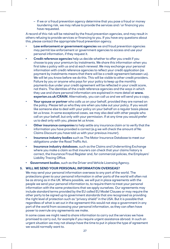– If we or a fraud prevention agency determine that you pose a fraud or money laundering risk, we may refuse to provide the services and / or financing you have requested.

A record of this risk will be retained by the fraud prevention agencies, and may result in others refusing to provide services or financing to you. If you have any questions about this, please contact the appropriate fraud prevention agency.

- **Law enforcement or government agencies** we and fraud prevention agencies may permit law enforcement or government agencies to access and use your personal information, if they request it.
- **Credit reference agencies** help us decide whether to offer you credit if you choose to pay your premium by instalments. We share this information when you first take a policy with us and at each renewal. We may exchange your personal information with credit reference agencies to reflect your credit application (as payment by instalments means that there will be a credit agreement between us). We will let you know before we do this. This will be visible to other credit providers. Failure by you or anyone who pays for your policy to keep up the monthly payments due under your credit agreement will be reflected in your credit score, not theirs. The identities of the credit reference agencies and the ways in which they use and share personal information are explained in more detail at **[www.](http://www.experian.co.uk/CRAIN) [experian.co.uk/CRAIN](http://www.experian.co.uk/CRAIN)**. Alternatively, you can call us and we will send you a copy.
- **Your spouse or partner** who calls us on your behalf, provided they are named on the policy. Please tell us who they are when you take out your policy. If you would like someone else to deal with your policy on your behalf on a regular basis please let us know. In some exceptional cases, we may also deal with other people who call on your behalf, but only with your permission. If at any time you would prefer us to deal only with you, please let us know.
- **Other insurance companies** to help settle any insurance claim or to verify that the information you have provided is correct (e.g we will check the amount of No Claims Discount you have told us with your previous insurer).
- **Insurance industry bodies** such as The Motor Insurance Database to meet our obligations under the Road Traffic Act.
- **Insurance industry databases**, such as the Claims and Underwriting Exchange where you make a claim so that insurers can check that your claims history is correct, the Insurance Fraud Register and, for commercial policies, the Employers' Liability Tracing Office.
- **Government bodies**, such as the Driver and Vehicle Licensing Agency.

#### **5. WILL WE SEND YOUR PERSONAL INFORMATION OVERSEAS?**

We may send your personal information overseas to any part of the world. The protections given to your personal information in other parts of the world will often not be as strong as in the UK. Where possible, we will put in place agreements with the people we send your personal information to, to require them to treat your personal information with the same protections that we apply ourselves. Our agreements may include standard terms provided by the EU called EU Model Clauses or may require the other party to be signed up to government standards that are recognised as providing the right level of protection such as "privacy shield" in the USA. But it is possible that regardless of what is set out in the agreement this would not stop a government in any part of the world from accessing your personal information, as they can often have power to overrule any agreements we make.

In some cases we might need to share information to carry out the services we have promised to carry out, for example if you require urgent assistance abroad. In such an urgent situation we may not always have the time to put in place the type of agreement we would normally want to.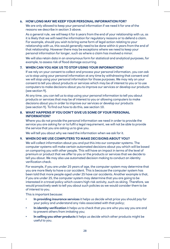#### **6. HOW LONG MAY WE KEEP YOUR PERSONAL INFORMATION FOR?**

We are only allowed to keep your personal information if we need it for one of the reasons we describe in section 3 above.

As a general rule, we will keep it for 6 years from the end of your relationship with us, as it is likely that we will need the information for regulatory reasons or to defend a claim. For example, should you wish to bring some form of legal action relating to your relationship with us, this would generally need to be done within 6 years from the end of that relationship. However there may be exceptions where we need to keep your personal information for longer, such as where a claim has involved a minor.

We will also retain data in an anonymous form for statistical and analytical purposes, for example, to assess risk of flood damage occurring.

#### **7. WHEN CAN YOU ASK US TO STOP USING YOUR INFORMATION?**

If we rely on your consent to collect and process your personal information, you can ask us to stop using your personal information at any time by withdrawing that consent and we will stop using your personal information for those purposes. We may rely on your consent to tell you about products or services which may be of interest to you or to use computers to make decisions about you to improve our services or develop our products (see section 9).

At any time, you can tell us to stop using your personal information to tell you about products or services that may be of interest to you or allowing computers to make decisions about you in order to improve our services or develop our products (see section 9). To find out how to do this, see section 10.

#### **8. WHAT HAPPENS IF YOU DON'T GIVE US SOME OF YOUR PERSONAL INFORMATION?**

Where you do not provide the personal information we need in order to provide the service you are asking for or to fulfil a legal requirement, we will not be able to provide the service that you are asking us to give you.

We will tell you about why we need the information when we ask for it.

#### **9. WHEN DO WE USE COMPUTERS TO MAKE DECISIONS ABOUT YOU?**

We will collect information about you and put this into our computer systems. The computer systems will make certain automated decisions about you which will be based on comparing you with other people. This will have an impact in terms of the level of premium or product that we offer to you or the products or services that we decide to tell you about. We may also use automated decision making to conduct an identity verification check.

For example, if you are under 25 years of age, the computer system may determine that you are more likely to have a car accident. This is because the computer system has been told that more people aged under 25 have car accidents. Another example is that, if you are under 25, the computer system may determine that you are going to be interested in a travel policy which covers high risk activity, such as skiing. Therefore, we would proactively seek to tell you about such policies as we would consider them to be of interest to you.

This is important because:

- **In providing insurance services** it helps us decide what price you should pay for your policy and understand any risks associated with that policy;
- **In identity verification** it helps us to check that you are who you say you are and to prevent others from imitating you;
- **In selling you other products** it helps us decide which other products might be useful to you.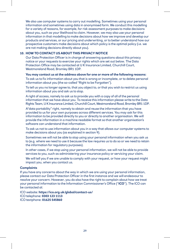We also use computer systems to carry out modelling. Sometimes using your personal information and sometimes using data in anonymised form. We conduct this modelling for a variety of reasons, for example, for risk assessment purposes to make decisions about you, such as your likelihood to claim. However, we may also use your personal information in that modelling to make decisions about how we improve and develop our products and services, or our pricing and underwriting, or to better understand how our prospective customers make decisions about which policy is the optimal policy (i.e. we are not making decisions directly about you).

#### **10. HOW TO CONTACT US ABOUT THIS PRIVACY NOTICE**

Our Data Protection Officer is in charge of answering questions about this privacy notice or your requests to exercise your rights which are set out below. The Data Protection Office may be contacted at U K Insurance Limited, Churchill Court, Westmoreland Road, Bromley BR1 1DP.

#### **You may contact us at the address above for one or more of the following reasons:**

To ask us to fix information about you that is wrong or incomplete, or to delete personal information about you (the so-called "Right to be Forgotten").

To tell us you no longer agree to, that you object to, or that you wish to restrict us using information about you and ask us to stop.

A right of access, namely to ask us to provide you with a copy of all of the personal information that we have about you. To receive this information please write to the Data Rights Team, U K Insurance Limited, Churchill Court, Westmoreland Road, Bromley BR1 1DP.

A"data portability" right, namely to obtain and reuse the information that you have provided to us for your own purposes across different services. You may ask for this information to be provided directly to you or directly to another organisation. We will provide the information in a machine readable format so that another organisation's software can understand that information.

To ask us not to use information about you in a way that allows our computer systems to make decisions about you (as explained in section 9).

Sometimes we will not be able to stop using your personal information when you ask us to (e.g. where we need to use it because the law requires us to do so or we need to retain the information for regulatory purposes).

In other cases, if we stop using your personal information, we will not be able to provide services to you, such as administering your insurance policy or servicing your claim.

We will tell you if we are unable to comply with your request, or how your request might impact you, when you contact us.

#### **Complaints**

If you have any concerns about the way in which we are using your personal information, please contact our Data Protection Officer in the first instance and we will endeavour to resolve your concern. However, you do also have the right to complain about how we treat your personal information to the Information Commissioner's Office ("**ICO**"). The ICO can be contacted at:

ICO website: **<https://ico.org.uk/global/contact-us/>** ICO telephone: **0303 123 1113** 

ICO textphone: **01625 545860**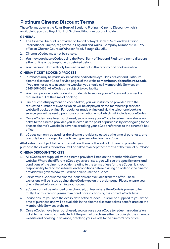## **Platinum Cinema Discount Terms**

These Terms govern the Royal Bank of Scotland Platinum Cinema Discount which is available to you as a Royal Bank of Scotland Platinum account holder.

#### **GENERAL**

- 1. The Cinema Discount is provided on behalf of Royal Bank of Scotland by Affinion International Limited, registered in England and Wales (Company Number 01008797) office at Charter Court, 50 Windsor Road, Slough SL1 2EJ.
- 2. Cinema eCodes must not be re-sold.
- 3. You may purchase eCodes using the Royal Bank of Scotland Platinum cinema discount either online or by telephone as detailed below.
- 4. Your personal data will only be used as set out in the privacy and cookies notice.

#### **CINEMA TICKET BOOKING PROCESS**

- 1. Purchases may be made online via the dedicated Royal Bank of Scotland Platinum cinema discount eCode Service pages of the website **[membershipbenefits.rbs.co.uk](http://membershipbenefits.rbs.co.uk)**. If you are not able to access the website, you should call Membership Services on 0345 609 0456. All eCodes are subject to availability.
- 2. You must provide credit or debit card details to secure your eCodes and payment is required in full at the time of booking.
- 3. Once successful payment has been taken, you will instantly be provided with the requested number of eCodes which will be displayed on the membership services website if booked online. For bookings made online and via the telephone booking service you will be sent a purchase confirmation email which will include your eCodes.
- 4. Once eCodes have been purchased, you can use your eCode to redeem an admission ticket to the cinema provider you selected at the point of purchase by either going to the chosen cinema's website in advance or taking your eCode reference to the cinema's box office.
- 5. eCodes can only be used for the cinema provider selected at the time of purchase, and can only be exchanged for the ticket type described on the eCode.

All eCodes are subject to the terms and conditions of the individual cinema provider you purchase the eCodes for and you will be asked to accept these terms at the time of purchase.

#### **CINEMA DISCOUNT TICKETS**

- 1. All eCodes are supplied by the cinema providers listed on the Membership Services website. Where the different eCode types are listed, you will see the specific terms and conditions of the cinema provider relating to the terms of use for the eCodes. It is your responsibility to read those terms and conditions before placing an order as the cinema provider will govern how you will be able to use the eCodes.
- 2. For certain eCodes some cinema locations are excluded from the offer. These exclusions will be listed against the eCode type on the order page. Please ensure you check these before confirming your order.
- 3. eCodes cannot be refunded or exchanged, unless where the eCode is proven to be faulty. For this reason please take great care in choosing the correct eCode type.
- 4. Please ensure you note the expiry date of the eCodes. This will be supplied to you at the time of purchase and will be available in the cinema discount tickets benefit area on the Membership Services website.
- 5. Once eCodes have been purchased, you can use your eCode to redeem an admission ticket to the cinema you selected at the point of purchase either by going to the cinema's website and booking in advance, or taking your eCode to the cinema's box office.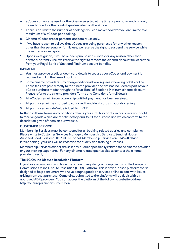- 6. eCodes can only be used for the cinema selected at the time of purchase, and can only be exchanged for the tickets type described on the eCode.
- 7. There is no limit to the number of bookings you can make; however you are limited to a maximum of 6 eCodes per booking.
- 8. Cinema eCodes are for personal and family use only.
- 9. If we have reason to believe that eCodes are being purchased for any other reason other than for personal or family use, we reserve the right to suspend the service while the matter is investigated.
- 10. Upon investigation, if you have been purchasing eCodes for any reason other than personal or family use, we reserve the right to remove the cinema discount ticket service from your Royal Bank of Scotland Platinum account benefits.

#### **PAYMENT**

- 1. You must provide credit or debit card details to secure your eCodes and payment is required in full at the time of booking.
- 2. Some cinema providers may charge additional booking fees if booking tickets online. These fees are paid directly to the cinema provider and are not included as part of your eCode purchase made through the Royal Bank of Scotland Platinum cinema discount. Please refer to the cinema providers Terms and Conditions for full details.
- 3. All eCodes remain in our ownership until full payment has been received.
- 4. All purchases will be charged to your credit and debit cards in pounds sterling.
- 5. All purchases include Value Added Tax (VAT).

Nothing in these Terms and conditions affects your statutory rights, in particular your right to receive goods which are of satisfactory quality, fit for purpose and which conform to the description given of them on our website.

#### **CUSTOMER SERVICE**

Membership Services must be contacted for all booking related queries and complaints. Please write to Customer Services Manager, Membership Services, Sentinel House, Airspeed Road, Portsmouth PO3 5RF or call Membership Services on 0345 609 0456. If telephoning, your call will be recorded for quality and training purposes.

Membership Services cannot assist in any queries specifically related to the cinema provider or your viewing experience. For any cinema related queries please contact the cinema provider directly.

#### **The EC Online Dispute Resolution Platform**

If you have a complaint, you have the option to register your complaint using the European Commission Online Dispute Resolution (ODR) Platform. This is a web-based platform that is designed to help consumers who have bought goods or services online to deal with issues arising from that purchase. Complaints submitted to the platform will be dealt with by approved ADR providers. You can access the platform at the following website address: <http://ec.europa.eu/consumers/odr/>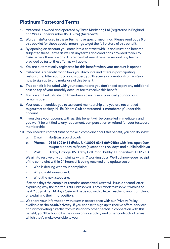## **Platinum Tastecard Terms**

- 1. tastecard is owned and operated by Taste Marketing Ltd (registered in England and Wales under number 05545626) (*tastecard*)
- 2. Words in *italics* used in these Terms have special meanings. Please read page 5 of this booklet for those special meanings to get the full picture of this benefit.
- 3. By opening an account you enter into a contract with us and *taste* and become subject to these Terms as well as any terms and conditions provided to you by *taste.* Where there are any differences between these Terms and any terms provided by *taste*, these Terms will apply.
- 4. You are automatically registered for this benefit when your account is opened.
- 5. tastecard is a benefit that allows you discounts and offers in participating restaurants. After your account is open, you'll receive information from *taste* on how to sign up to and make use of this benefit.
- 6. This benefit is included with your account and you don't need to pay any additional cost on top of your monthly account fee to receive this benefit.
- 7. You are entitled to tastecard membership each year provided your account remains open.
- 8. Your account entitles you to tastecard membership and you are not entitled to gourmet society, hi-life Diners Club or tastecard '+ membership' under this account.
- 9. If you close your account with us, this benefit will be cancelled immediately and you won't be entitled to any repayment, compensation or refund for your tastecard membership.
- 10. If you need to contact *taste* or make a complaint about this benefit, you can do so by:
	- **a. Email**: **[rbs@tastecard.co.uk](mailto:rbs@tastecard.co.uk)**
	- **b. Phone**: **0345 609 0456** (Relay UK **18001 0345 609 0456**) with lines open 9am to 5pm Monday to Friday (except bank holidays and public holidays)

**c. Post**: Birkby Grange, 85 Birkby Hall Road, Birkby, Huddersfield, HD2 2XB We aim to resolve any complaints within 7 working days. We'll acknowledge receipt of the complaint within 24 hours of it being received and update you on:

- Who is dealing with your complaint;
- Why it is still unresolved;
- What the next steps are.

If after 7 days the complaint remains unresolved, *taste* will issue a second letter explaining why the matter is still unresolved. They'll work to resolve it within the next 7 days. After 14 days *taste* will issue you with a letter resolving your complaint or explaining their final position.

11. We share your information with *taste* in accordance with our Privacy Policy, available at **[rbs.co.uk/privacy](http://rbs.co.uk/privacy)**. If you choose to sign up to receive offers, services and/or marketing directly from *taste* or any other *person* in connection with this benefit, you'll be bound by their own privacy policy and other contractual terms, which they'd make available to you.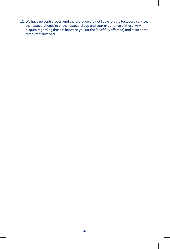12. We have no control over, and therefore we are not liable for, the tastecard service, the tastecard website or the tastecard app and your experience of these. Any dispute regarding these is between you (or the *individual* affected) and *taste* or the restaurant involved.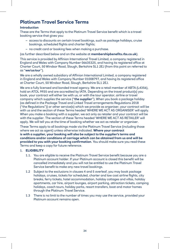## **Platinum Travel Service Terms**

#### **Introduction**

These are the Terms that apply to the Platinum Travel Service benefit which is a travel booking service that gives you:

- access to discounts on certain travel bookings, such as package holidays, cruise bookings, scheduled flights and charter flights;
- no credit card or booking fees when making a purchase.

(as further described below and on the website at **[membershipbenefits.rbs.co.uk](http://membershipbenefits.rbs.co.uk)**).

This service is provided by Affinion International Travel Limited, a company registered in England and Wales with Company Number 06635325, and having its registered office at Charter Court, 50 Windsor Road, Slough, Berkshire SL1 2EJ (from this point on referred to as "**we/us/our**").

We are a wholly owned subsidiary of Affinion International Limited, a company registered in England and Wales with Company Number 01008797, and having its registered office at Charter Court, 50 Windsor Road, Slough, Berkshire SL1 2EJ.

We are a fully licensed and bonded travel agency. We are a retail member of ABTA (L4356), hold an ATOL 9935 and are accredited by IATA. Depending on the travel product(s) you book, your contract will either be with us, or with the tour operator, airline or travel company which supplies the service ("**the supplier**"). When you book a package holiday (as defined in the Package Travel and Linked Travel arrangements Regulations 2018 ("the Regulations")) or other service(s) which we provide as organiser, your contract will be with us and the section of these Terms headed 'WHERE WE ACT AS ORGANISER' will apply. When you make a booking with a supplier, we act only as retailer and your contract will be with the supplier. The section of these Terms headed 'WHERE WE ACT AS RETAILER' will apply. We will tell you at the time of booking whether we act as retailer or organiser.

These Terms apply to all bookings made via the Platinum Travel Service (including those where we act as agent) unless otherwise indicated. **Where your contract is with a supplier, your booking will also be subject to the supplier's terms and conditions and/or conditions of carriage which can be obtained from us and will be provided to you with your booking confirmation**. You should make sure you read these Terms and keep a copy for future reference.

#### 1. **ELIGIBILITY**

- 1.1. You are eligible to receive the Platinum Travel Service benefit because you are a Platinum account holder. If your Platinum account is closed this benefit will be cancelled immediately and you will not be entitled to use the Platinum Travel Service benefit to make any new travel bookings.
- 1.2 Subject to the exclusions in clauses 4 and 5 overleaf, you may book package holidays, cruises, tickets for scheduled, charter and low cost airline flights, city breaks, ferry tickets, hotel accommodation, holiday cottages and villas, holiday apartments, car hire, airport lounges, airport parking, attraction tickets, camping holidays, coach tours, holiday parks, resort transfers, boat and motor homes through the Platinum Travel Service.
- 1.3 There is no limit to the number of times you may use the service, provided your Platinum account remains open.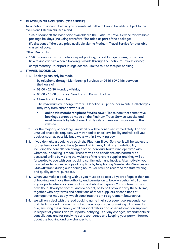#### 2. **PLATINUM TRAVEL SERVICE BENEFITS**

As a Platinum account holder, you are entitled to the following benefits, subject to the exclusions listed in clauses 4 and 5:

- 10% discount off the base price available via the Platinum Travel Service for available package holidays (including transfers if included as part of the package;
- 5% discount off the base price available via the Platinum Travel Service for available cruise holidays.

Other Discounts:

- 10% discount on airport hotels, airport parking, airport lounge passes, attraction tickets and car hire when a booking is made through the Platinum Travel Service;
- complimentary UK airport lounge access. Limited to 2 passes per booking.

#### 3. **TRAVEL BOOKINGS**

- 3.1. Bookings can only be made:
	- by telephone through Membership Services on 0345 609 0456 between the hours of
	- 08:00 20:30 Monday Friday
	- 08:00 18:00 Saturday, Sunday and Public Holidays
	- Closed on 25 December

 The maximum call charge from a BT landline is 3 pence per minute. Call charges may vary from other networks, or

- **• online via [membershipbenefits.rbs.co.uk](http://membershipbenefits.rbs.co.uk)** Please note that some travel bookings cannot be made on the Platinum Travel Service website and must be made by telephone. Full details of these exclusions are on the website.
- 3.2. For the majority of bookings, availability will be confirmed immediately. For any unusual or special requests, we may need to check availability and will call you back as soon as possible but always within 1 working day.
- 3.3. If you do make a booking through the Platinum Travel Service, it will be subject to further terms and conditions (some of which may limit or exclude liability), including the cancellation charges of the individual tour/airline operator with whom your booking is made. These terms and conditions can normally be accessed online by visiting the website of the relevant supplier and they will be forwarded to you with your booking confirmation and invoice. Alternatively, you may call us to request a copy at any time by telephoning Membership Services on **0345 609 0456** during our opening hours. Calls will be recorded for staff training and quality control purposes.
- 3.4. When you make a booking with us you must be at least 18 years of age at the time of booking, and have the authority and permission to book on behalf of all others in your party where you are booking on behalf of a group. You confirm that you have the authority to accept, and do accept, on behalf of your party these Terms, together with any terms and conditions of other suppliers or conditions of carriage that may apply, which constitute the entire agreement between us.
- 3.5. We will only deal with the lead booking name in all subsequent correspondence and dealings, and this means that you are responsible for making all payments due, ensuring the accuracy of all personal details and other information supplied in respect of yourself and your party, notifying us of any changes, amendments or cancellations and for receiving correspondence and keeping your party informed about the booking and any changes to it.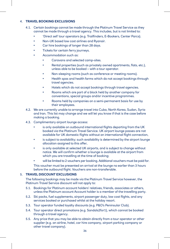#### 4. **TRAVEL BOOKING EXCLUSIONS**

- 4.1. Certain bookings cannot be made through the Platinum Travel Service as they cannot be made through a travel agency. This includes, but is not limited to:
	- **•** 'Direct sell' tour operators (e.g. Trailfinders, E-Bookers, Center Parcs).
	- **•** Non-UK based low cost airlines and Ryanair.
	- **•** Car hire bookings of longer than 28 days.
	- **•** Tickets for certain ferry journeys.
	- **•** Accommodation such as:
		- **•** Caravans and selected camp-sites.
		- **•** Rental properties (such as privately owned apartments, flats, etc.), unless able to be booked – with a tour operator.
		- **•** Non-sleeping rooms (such as conference or meeting rooms).
		- **•** Health spas and health farms which do not accept bookings through travel agencies.
		- **•** Hotels which do not accept bookings through travel agencies.
		- **•** Rooms which are part of a block held by another company for conventions, special groups and/or incentive programmes.
		- **•** Rooms held by companies on a semi-permanent basis for use by their employees.
- 4.2. We are currently unable to arrange travel into Cuba, North Korea, Sudan, Syria and Iran. This list may change and we will let you know if that is the case before making a booking.
- 4.3. Complimentary airport lounge access:
	- **•** is only available on outbound international flights departing from the UK booked via the Platinum Travel Service. UK airport lounge passes are not available for UK domestic flights without an international flight connection,
	- **•** is subject to availability; such availability is determined by the airport lounge allocation assigned to this offer,
	- **•** is only available at selected UK airports, and is subject to change without notice. We will confirm whether a lounge is available at the airport from which you are travelling at the time of booking;
	- **•** will be limited to 2 vouchers per booking. Additional vouchers must be paid for.

 This voucher must be presented on arrival at the lounge no earlier than 3 hours before the outbound flight. Vouchers are non-transferable.

#### 5. **TRAVEL DISCOUNT EXCLUSIONS**

The following bookings may be made via the Platinum Travel Service however, the Platinum Travel Service discount will not apply to:

- 5.1. Bookings for Platinum account holders' relatives, friends, associates or others, unless the Platinum account Account holder is a member of the travelling party.
- 5.2. Ski packs, fuel supplements, airport passenger duty, low cost flights, and any services booked or purchased whilst at the holiday resort.
- 5.3. Tour operator funded loyalty discounts (e.g. P&O's Peninsular Club).
- 5.4. Tour operator direct promotions (e.g. Sandals2for1), which cannot be booked through a travel agency.
- 5.5. Any price that you may be able to obtain directly from a tour operator or other supplier (e.g. an airline, hotel, car hire company, airport parking company or other travel company).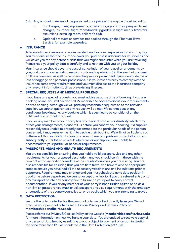- 5.6. Any amount in excess of the published base price of the eligible travel, including:
	- a. Surcharges, taxes, supplements, excess baggage charges, pre-paid ticket charges, insurance, flight/room/board upgrades, in-flight meals, transfers, excursions, extra leg room, children's club.
	- b. Optional products or services not booked through the Platinum Travel Service, for example upgrades.

#### 6. **INSURANCE**

Adequate travel insurance is recommended, and you are responsible for ensuring this. You must ensure that the insurance cover you purchase is adequate for your needs and will cover you for any potential risks that you might encounter while you are travelling. Please read your policy details carefully and take them with you on your holiday.

Your insurance should cover the cost of cancellation of your travel arrangements by you, and assistance (including medical costs and repatriation) in the event of accident or illness overseas, as well as compensating you for permanent injury, death, delays or loss of baggage and personal possessions. It is your responsibility to comply with the insurance company's requirements and you must disclose to the insurance company any relevant information such as pre-existing illnesses.

#### 7. **SPECIAL REQUESTS AND MEDICAL PROBLEMS**

If you have any special requests, you must advise us at the time of booking. If you are booking online, you will need to call Membership Services to discuss your requirements prior to booking. Although we will pass any reasonable requests on to the relevant supplier, we cannot guarantee any request will be met. We cannot accept any conditional bookings, i.e. any booking which is specified to be conditional on the fulfilment of a particular request.

If you or any member of your party has any medical problem or disability which may affect your arrangements, please tell us before you confirm your booking. If a supplier reasonably feels unable to properly accommodate the particular needs of the person concerned, it may reserve the right to decline their booking. We will not be liable to you in the event that you fail to disclose any relevant medical problem or disability and you subsequently suffer loss as a result where we or our suppliers are unable to accommodate your particular needs or requirements.

#### 8. **PASSPORTS, VISAS AND HEALTH REQUIREMENTS**

You are responsible for ensuring that you hold a valid passport, visa and any other requirements for your proposed destination, and you should confirm these with the relevant embassy and/or consulate of the country/countries you are visiting. You are also responsible for ensuring that you are fit to travel and have taken the appropriate steps to ensure you have had all the necessary vaccinations and inoculations prior to departure. Requirements may change and you must check the up to date position in good time before departure. We cannot accept any liability if you are refused entry onto any transport or into any country due to failure on your part to carry correct documentation. If you or any member of your party is not a British citizen or holds a non-British passport, you must check passport and visa requirements with the embassy or consulate of the country/countries to, or through, which you are intending to travel.

#### 9. **DATA PROTECTION**

We are the data controller for the personal data we collect directly from you. We will only use your personal data as set out in our Privacy and Cookies Policy on **[membershipbenefits.rbs.co.uk](http://membershipbenefits.rbs.co.uk)**

Please refer to our Privacy & Cookies Policy on the website (**[membershipbenefits.rbs.co.uk](http://membershipbenefits.rbs.co.uk)**) for more information on how we handle your data. You are entitled to receive a copy of any personal data held by us relating to you, subject to payment of an administration fee of no more than £10 as stipulated in the Data Protection Act 1998.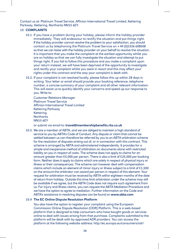Contact us at: Platinum Travel Service, Affinion International Travel Limited, Kettering Parkway, Kettering, Northants NN15 6EY.

#### 10. **COMPLAINTS**

- 10.1. If you have a problem during your holiday, please inform the holiday provider immediately. They will endeavour to rectify the situation and put things right. If the holiday provider cannot resolve the problem to your satisfaction, you should contact us by telephoning the Platinum Travel Service on + 44 (0)1536 608508 so that we can liaise with the holiday provider on your behalf to resolve the situation. It is important that you make the complaint at the earliest opportunity whilst you are on holiday so that we can fully investigate the situation and attempt to put things right. If you fail to follow this procedure and you make a complaint upon your return instead, we will have been deprived of the opportunity to investigate and rectify your complaint whilst you were in resort and this may affect your rights under this contract and the way your complaint is dealt with.
- 10.2. If your complaint is not resolved locally, please follow this up within 28 days in writing. Your letter or email should provide your booking reference, telephone number, a concise summary of your complaint and all other relevant information. This will assist us to quickly identify your concerns and speed up our response to you. Write to:

Customer Relations Manager Platinum Travel Service Affinion International Travel Limited Kettering Parkway Kettering **Northants** NN15 6EY

or submit via email to: **[travel@membershipbenefits.rbs.co.uk](mailto:travel@membershipbenefits.rbs.co.uk)**

10.3. We are a member of ABTA, and we are obliged to maintain a high standard of service to you by ABTA's Code of Conduct. Any dispute or claim that cannot be settled between us can therefore be referred by you to an ABTA arbitration scheme for the resolution of disputes arising out of, or in connection with this contract. This scheme is arranged by ABTA and administered independently. It provides for a simple and inexpensive method of arbitration on documents alone with restricted liability on you in respect of costs. The scheme does not apply to claims for an amount greater than £5,000 per person. There is also a limit of £25,000 per booking form. Neither does it apply to claims which are solely in respect of physical injury or illness or their consequences. The scheme can however deal with compensation claims which include an element of minor injury or illness subject to a limit of £1,500 on the amount the arbitrator can award per person in respect of this element. Your request for arbitration must be received by ABTA within eighteen months of the date of return from holiday. Outside this time limit arbitration under the scheme may still be available if we agree, but the ABTA Code does not require such agreement from us. For injury and illness claims, you can request the ABTA Mediation Procedure and we have the option to agree to mediation. Further information on the Code and ABTA's assistance in resolving disputes can be found on **[www.abta.com](http://www.abta.com)**

#### 10.4 **The EC Online Dispute Resolution Platform**

 You also have the option to register your complaint using the European Commission Online Dispute Resolution (ODR) Platform. This is a web-based platform that is designed to help consumers who have bought goods or services online to deal with issues arising from that purchase. Complaints submitted to the platform will be dealt with by approved ADR providers. You can access the platform at the following website address: <http://ec.europa.eu/consumers/odr/>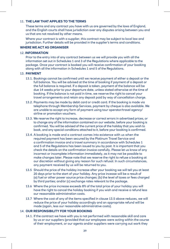#### 11. **THE LAW THAT APPLIES TO THE TERMS**

These terms and any contract you have with us are governed by the laws of England, and the English courts shall have jurisdiction over any disputes arising between you and us that are not resolved by other means.

Where your contract is with a supplier, this contract may be subject to local law and jurisdiction. Further details will be provided in the supplier's terms and conditions.

#### **WHERE WE ACT AS ORGANISER**

#### 12. **INFORMATION**

Prior to the entry into of any contract between us we will provide you with all the information set out in Schedules 1 and 3 of the Regulations where applicable to the package. Once your contract is booked you will receive confirmation of your booking along with all the information in Schedules 1 and 5 of the Regulations.

#### 13. **PAYMENT**

- 13.1. Bookings cannot be confirmed until we receive payment of either a deposit or the full balance. You will be advised at the time of booking if payment of a deposit or the full balance is required. If a deposit is taken, payment of the balance will be due 14 weeks prior to your departure date, unless stated otherwise at the time of booking. If the balance is not paid in time, we reserve the right to cancel your travel arrangements and retain any deposit paid by way of cancellation charge.
- 13.2. Payments may be made by debit card or credit card. If the booking is made via telephone through Membership Services, payment by cheque is also available. We are unable to accept any form of payment using tour operator/travel agency/ airline or promotion vouchers.
- 13.3. We reserve the right to increase, decrease or correct errors in advertised prices, or to change any of the information contained on our website, before your booking is confirmed. You will be advised of the current price of the holiday that you wish to book, and any special conditions attached to it, before your booking is confirmed.
- 13.4. A booking is made and a contract comes into existence with us when the required payment has been secured by the Platinum Travel Service and a confirmation invoice and a travel summary in accordance with Schedules 1 and 5 of the Regulations has been issued to you by post. It is important that you check the details on the confirmation invoice carefully. Please let us know of any incorrect or incomplete information immediately, as it may not be possible to make changes later. Please note that we reserve the right to refuse a booking at our discretion without giving any reason for such refusal. In such circumstances, any payment received by us will be returned to you.
- 13.5 Should the price of the holiday increase after your booking we will tell you at least 20 days prior to the start of your holiday. Any price incease will be a result of (a) fuel or other power source price changes; (b) the level of taxes or fees charged by third parties; and/or (c) exchange rates relevant to the package.
- 13.6 Where the price increase exceeds 8% of the total price of your holiday you will have the right to cancel the holiday booking if you wish and receive a refund less our reasonable administration costs.
- 13.7 Where the cost of any of the items specified in clause 13.5 above reduces, we will reduce the price of your holiday accordingly and an appropriate refund will be made (again, less our reasonable administrative costs).

#### 14. **OUR RESPONSIBILITY FOR YOUR BOOKING**

14.1. If the contract we have with you is not performed with reasonable skill and care by us or our suppliers (provided that our employees were acting within the course of their employment, or our agents and/or suppliers were carrying out work they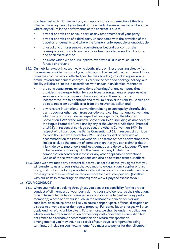had been asked to do), we will pay you appropriate compensation if this has affected the enjoyment of your travel arrangements. However, we will not be liable where any failure in the performance of the contract is due to:

- **•** any act or omission on your part, or any other member of your party;
- **•** any act or omission of a third party unconnected with the provision of the travel arrangements and where the failure is unforeseeable or unavoidable;
- **•** unusual and unforeseeable circumstances beyond our control, the consequences of which could not have been avoided even if all due care had been exercised; or
- **•** an event which we or our suppliers, even with all due care, could not foresee or prevent.
- 14.2. Our liability, except in cases involving death, injury or illness resulting directly from the services provided as part of your holiday, shall be limited to a maximum of three times the cost the person affected paid for their holiday (not including insurance premiums and amendment charges). Except in the case of a package holiday, our liability will also be limited in accordance with and/or in an identical manner to:
	- **•** the contractual terms or 'conditions of carriage' of any company that provides the transportation for your travel arrangements or supplies other services such as accommodation or activities. These terms are incorporated into this contract and may limit or exclude liability. Copies can be obtained from our offices or from the relevant supplier; and
	- **•** any relevant international convention relating to carriage by aircraft, ship, train, coach or other such transportation service. International conventions which may apply include: in respect of carriage by air, the Montreal Convention 1999 or the Warsaw Convention 1929 (including as amended by the Hague Protocol of 1955 and by any of the Montreal Additional Protocol of 1975); in respect of carriage by sea, the Athens Convention 1974; in respect of rail carriage, the Berne Convention 1961; in respect of carriage by road the Geneva Convention 1973; and in respect of provision of accommodation the Paris Convention. The terms of these conventions may limit or exclude the amount of compensation that you can claim for death, injury, delay to passengers and loss, damage and delay to luggage. We are to be regarded as having all of the benefits of any limitation of compensation contained in these or any other applicable conventions. Copies of the relevant conventions can also be obtained from our offices.
- 14.3. Once we have made any payment due to you as set out above, you agree that you will transfer to us any legal rights that you may have against any supplier or third party, and that you will cooperate fully with us if we or our insurers wish to enforce those rights. In the event that we recover more than we have paid you (together with our costs in recovering this money) then we will pay the excess to you.

#### 15. **YOUR CONDUCT**

15.1 When you make a booking through us, you accept responsibility for the proper conduct of all members of your party during your stay. We reserve the right at any time to terminate the travel arrangements and/or cease to deal with any party member(s) whose behaviour is such, in the reasonable opinion of us or our suppliers, as to cause or to be likely to cause danger, upset, offence, disruption or distress to anyone else or damage to property. Full cancellation charges will then apply and no refund will be given. Furthermore, we shall be under no obligation whatsoever to pay compensation or meet any costs or expenses (including but not limited to alternative accommodation and return transportation arrangements) you may incur as a result of your travel arrangements being terminated, including your return home. You must also pay us for the full amount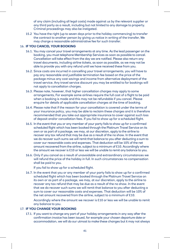of any claim (including all legal costs) made against us by the relevant supplier or any third party as a result, including but not limited to any damage to property. Criminal proceedings may also be instigated.

15.2 You have the right (up to seven days prior to the holiday commencing) to transfer the contract to another person by giving us notice in writing of the transfer, We may charge a reasonable administrative fee for such transfer.

#### 16. **IF YOU CANCEL YOUR BOOKING**

- 16.1. You may cancel your travel arrangements at any time. As the lead passenger on the booking, you must telephone Membership Services as soon as possible to cancel. Cancellation will take effect from the day we are notified. Please also return any travel documents, including airline tickets, as soon as possible, as we may not be able to provide you with any refund until we have received these from you.
- 16.2. Since costs are incurred in cancelling your travel arrangements, you will have to pay any reasonable and justifiable termination fee based on the price of the package minus any cost savings and income from alternative deployment of the travel service. Any travel service discount you may be entitled to for bookings will not apply to cancellation charges.
- 16.3. Please note, however, that higher cancellation charges may apply to some arrangements, For example some airlines require the full cost of a flight to be paid when a booking is made and this may not be refundable if you cancel. Please enquire for details of applicable cancellation charges at the time of booking.
- 16.4. Please note that if the reason for your cancellation is covered under the terms of your insurance policy, you may be able to reclaim these charges and it is therefore recommended that you take out appropriate insurance to cover against such loss of deposit and/or cancellation fees. If you fail to show up for a scheduled flight.
- 16.5. In the event that you or any member of your party fails to show up for a confirmed scheduled flight which has been booked through the Platinum Travel Service on its own or as part of a package, we may, at our discretion, apply to the airline to recover any tax refund that may be due as a result of the no show. In the event that we do recover such sums we will remit that balance to you after deducting a sum to cover our reasonable costs and expenses. That deduction will be 10% of the net amount recovered from the airline, subject to a minimum of £10. Accordingly where the amount we recover is £10 or less we will be unable to remit any balance to you.
- 16.6. Only if you cancel as a result of unavoidable and extraordinary circumstances we will refund the price of the holiday in full. In such circumstances no compensation shall be paid to you.

If you fail to show up for a scheduled flight.

16.7. In the event that you or any member of your party fails to show up for a confirmed scheduled flight which has been booked through the Platinum Travel Service on its own or as part of a package, we may, at our discretion, apply to the airline to recover any tax refund that may be due as a result of the no show. In the event that we do recover such sums we will remit that balance to you after deducting a sum to cover our reasonable costs and expenses. That deduction will be 10% of the net amount recovered from the airline, subject to a minimum of £10.

 Accordingly where the amount we recover is £10 or less we will be unable to remit any balance to you.

#### 17. **IF YOU CHANGE YOUR BOOKING**

17.1. If you want to change any part of your holiday arrangements in any way after the confirmation invoice has been issued, for example your chosen departure date or accommodation, we will do our utmost to make these changes but it may not always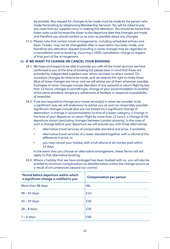be possible. Any request for changes to be made must be made by the person who made the booking by telephoning Membership Services. You will be asked to pay any costs that our suppliers incur in making this alteration. You should be aware that these costs could increase the closer to the departure date that changes are made and therefore you should contact us as soon as possible about any changes.

17.2. Please note that certain travel arrangements, including scheduled airlines and Apex Tickets, may not be changeable after a reservation has been made, and therefore any alteration request (including a name change) may be regarded as a cancellation and re-booking, incurring a 100% cancellation charge in respect of that part of the arrangement.

#### 18. **IF WE WANT TO CHANGE OR CANCEL YOUR BOOKING**

- 18.1. We hope and expect to be able to provide you with all the travel services we have confirmed to you at the time of booking but please bear in mind that these are provided by independent suppliers over whom we have no direct control. On occasions changes do have to be made, and we reserve the right to make these. Most of these changes are minor and we will advise you of them wherever possible. Examples of minor changes include alteration of any outward or return flight by less than 12 hours, changes to aircraft type, change of your accommodation to another of the same standard, temporary withdrawal of facilities or seasonal unavailability of amenities.
- 18.2. If we are required to change your travel service(s) in what we consider to be a significant way we will endeavour to advise you as soon as reasonably possible. Significant changes include (but are not limited to) a significant change of destination; a change in accommodation to that of a lower category; a change in the time of your departure or return flight by more than 12 hours; a change of UK departure airport (excluding changes between London airports). In the case of such a change before your departure we will provide you with three alternatives:
	- **•** alternative travel services of comparable standard and price, if available;
	- **•** alternative travel services of a lower standard together with a refund of the difference in price; or
	- **•** you may cancel your holiday with a full refund of all monies paid within 14 days.

 In the event that you choose an alternative arrangement, these Terms will still apply to that alternative booking.

18.3. Where a holiday that we have packaged has been booked with us, you will also be entitled to minimum compensation as detailed below unless the change occurs as a result of circumstances beyond our control.

| Period before departure within which<br>a significant change is notified to you | <b>Compensation per person</b> |
|---------------------------------------------------------------------------------|--------------------------------|
| More than 98 days:                                                              | <b>NIL</b>                     |
| $98 - 43$ days:                                                                 | £10                            |
| $42 - 29$ days:                                                                 | £20                            |
| $28 - 8$ days:                                                                  | £30                            |
| $7 - 0$ days:                                                                   | £40                            |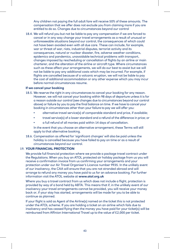Any children not paying the full adult fare will receive 50% of these amounts. The compensation that we offer does not exclude you from claiming more if you are entitled to do so. Changes due to circumstances beyond our control

18.4. We will refund you but not be liable to pay any compensation if we are forced to cancel or in any way change your travel arrangements as a result of unusual or unforeseeable situations beyond our control, the consequences of which could not have been avoided even with all due care. These can include, for example, war or threat of war, riots, industrial disputes, terrorist activity and its consequences, natural or nuclear disaster, fire, adverse weather conditions, epidemics and pandemics, unavoidable technical problems with transport, changes imposed by rescheduling or cancellation of flights by an airline or main charterer, and the alteration of the airline or aircraft type. Where circumstances such as these affect your arrangements, we will do our best to assist but we will not be liable to pay any additional costs which may be incurred. For example, if flights are cancelled because of a volcanic eruption, we will not be liable to pay the cost of additional accommodation or any other expense which you may incur before normal circumstances resume.

#### **If we cancel your booking**

- 18.5. We reserve the right in any circumstances to cancel your booking for any reason. However, we will not cancel your booking within 98 days of departure unless it is for a reason outside our control (see changes due to circumstances beyond our control above) or failure by you to pay the final balance on time. If we have to cancel your booking in circumstances other than your failure to pay we will offer you:
	- **•** alternative travel service(s) of comparable standard and price, if available;
	- **•** travel service(s) of a lower standard and a refund of the difference in price; or
	- **•** a full refund of all monies paid within 14 days of cancellation.

 In the event that you choose an alternative arrangement, these Terms will still apply to that alternative booking.

18.6. Compensation as offered for 'significant changes' will also be paid unless the holiday is cancelled because you have failed to pay on time or as a result of circumstances beyond our control.

#### 19. **YOUR FINANCIAL PROTECTION**

We provide full financial protection where we provide a package travel contract under the Regulations. When you buy an ATOL protected air holiday package from us you will receive a confirmation invoice from us confirming your arrangements and your protection under our Air Travel Organiser's Licence number 9935. In the unlikely event of our insolvency, the CAA will ensure that you are not stranded abroad and will arrange to refund any money you have paid to us for an advance booking. For further information visit the ATOL website at **www.atol.org.uk**

Where you buy a travel contract from us which does not include a flight, protection is provided by way of a bond held by ABTA. This means that if, in the unlikely event of our insolvency your travel arrangements cannot be provided, you will receive your money back or, if your stay has started, arrangements will be made for you to be able to continue as planned.

If your flight is sold as Agent of the Airline(s) named on the ticket this is not protected under the ATOL scheme. If you are holding a ticket on an airline which fails due to insolvency and has ceased flying then the money you have paid for your ticket(s) will be reimbursed from Affinion International Travel up to the value of £2,000 per ticket.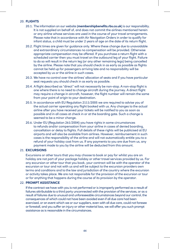#### 20. **FLIGHTS**

- 20.1. The information on our website (**[membershipbenefits.rbs.co.uk](http://membershipbenefits.rbs.co.uk)**) is our responsibility. It is not supplied on behalf of, and does not commit the airlines mentioned herein or any airline whose services are used in the course of your travel arrangements. Please note that in accordance with Air Navigation Orders in order to qualify for infant status, a child must be under 2 years of age on the date of its return flight.
- 20.2. Flight times are given for guidance only. Where these change due to unavoidable and extraordinary circumstances no compensation will be provided. Otherwise appropriate compensation may be offered. If you purchase a return flight with a scheduled carrier then you must travel on the outbound leg of your flight. Failure to do so will result in the return leg (or any other remaining legs) being cancelled by the airline. Please note that you should check in as early as possible as flights cannot be held up for passengers arriving late and no responsibility will be accepted by us or the airline in such cases.
- 20.3. We have no control over the airlines' allocation of seats and if you have particular seat requests you should check in as early as possible.
- 20.4. A flight described as "direct" will not necessarily be non-stop. A non-stop flight is one where there is no need to change aircraft during the journey. A direct flight may require a change in aircraft, however, the flight number will remain the same from your point of origin to your destination.
- 20.5. In accordance with EU Regulation 2111/2005 we are required to advise you of the actual carrier operating any flight booked with us. Any changes to the actual airline after you have received your tickets will be notified to you as soon as possible and in all cases at check in or at the boarding gate. Such a change is seemed to be a minor change.
- 20.6. Under EU (Regulation 261/2004) you have rights in some circumstances to refunds and/or compensation from your airline in cases of denied boarding, cancellation or delay to flights. Full details of these rights will be publicised at EU airports and will also be available from airlines. However, reimbursement in such cases is the responsibility of the airline and will not automatically entitle you to a refund of your holiday cost from us. If any payments to you are due from us, any payment made to you by the airline will be deducted from this amount.

#### 21. **EXCURSIONS**

Excursions or other tours that you may choose to book or pay for whilst you are on holiday are not part of your package holiday or other travel services provided by us. For any excursion or other tour that you book, your contract will be with the operator of the excursion or tour and not with us and will be subject to the excursion providers own terms and conditions and to the law and jurisdiction of the country where the excursion or activity takes place. We are not responsible for the provision of the excursion or tour or for anything that happens during the course of its provision by the operator.

#### 22. **PROMPT ASSISTANCE**

If the contract we have with you is not performed or is improperly performed as a result of failures attributable to a third party unconnected with the provision of the services, or as a result of failures due to unusual and unforeseeable circumstances beyond our control, the consequences of which could not have been avoided even if all due care had been exercised, or an event which we or our suppliers, even with all due care, could not foresee or forestall, and you suffer an injury or other material loss, we will offer you such prompt assistance as is reasonable in the circumstances.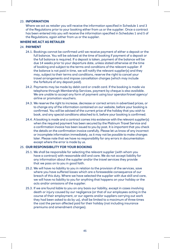#### 23. **INFORMATION**

Where we act as retailer you will receive the information specified in Schedule 1 and 3 of the Regulations prior to your booking either from us or the supplier. Once a contract has been entered into you will receive the information specified in Schedules 1 and 5 of the Regulations, again either from us or the supplier.

#### **WHERE WE ACT AS RETAILER**

#### 24. **PAYMENT**

- 24.1. Bookings cannot be confirmed until we receive payment of either a deposit or the full balance. You will be advised at the time of booking if payment of a deposit or the full balance is required. If a deposit is taken, payment of the balance will be due 14 weeks prior to your departure date, unless stated otherwise at the time of booking and subject to the terms and conditions of the relevant supplier. If the balance is not paid in time, we will notify the relevant supplier(s) and they may, subject to their terms and conditions, reserve the right to cancel your travel arrangements and impose cancellation charges (which may include the forfeiture of any deposit paid).
- 24.2. Payments may be made by debit card or credit card. If the booking is made via telephone through Membership Services, payment by cheque is also available. We are unable to accept any form of payment using tour operator/travel agency/ airline or promotion vouchers.
- 24.3. We reserve the right to increase, decrease or correct errors in advertised prices, or to change any of the information contained on our website, before your booking is confirmed. You will be advised of the current price of the holiday that you wish to book, and any special conditions attached to it, before your booking is confirmed.
- 24.4. A booking is made and a contract comes into existence with the relevant supplier(s) when the required payment has been secured by the Platinum Travel Service and a confirmation invoice has been issued to you by post. It is important that you check the details on the confirmation invoice carefully. Please let us know of any incorrect or incomplete information immediately, as it may not be possible to make changes later. Please note that we have no responsibility for any errors in documentation except where the error is made by us.

#### 25. **OUR RESPONSIBILITY FOR YOUR BOOKING**

- 25.1. We shall be responsible for selecting the relevant supplier (with whom you have a contract) with reasonable skill and care. We do not accept liability for any information about the supplier and/or the travel services they provide that we pass on to you in good faith.
- 25.2. We will have no liability to you in relation to the provision of the services, save where you have suffered losses which are a foreseeable consequence of our breach of this duty. Where we have selected the supplier with due skill and care, we will have no liability to you for anything that happens on your holiday or the acts and/or omissions of the supplier.
- 25.3. If we are found liable to you on any basis our liability, except in cases involving death or injury caused by our negligence (or that of our employees acting in the course of their employment, or our agents and/or suppliers carrying out work they had been asked to do by us), shall be limited to a maximum of three times the cost the person affected paid for their holiday (not including insurance premiums and amendment charges).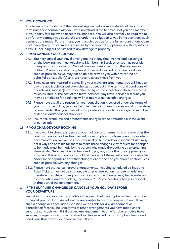#### 26. **YOUR CONDUCT**

The terms and conditions of the relevant supplier will normally state that they may terminate their contract with you, with no refund, if the behaviour of you or a member of your party falls below an acceptable standard. You will also normally be required to pay for any damage you cause. We are under no obligation to you in the event any such demands are made. Furthermore, you must also pay us for the full amount of any claim (including all legal costs) made against us by the relevant supplier or any third party as a result, including but not limited to any damage to property.

#### 27. **IF YOU CANCEL YOUR BOOKING**

- 27.1. You may cancel your travel arrangements at any time. As the lead passenger on the booking, you must telephone Membership Services as soon as possible to request the cancellation. Cancellation will take effect from the day we are notified. Please also return any travel documents, including airline tickets, as soon as possible as we may not be able to provide you with any refund on behalf of our supplier(s) until we have received these from you.
- 27.2. Since costs are incurred in cancelling your travel arrangements, you will have to pay the applicable cancellation charges as set out in the terms and conditions of our relevant supplier(s) who are affected by your cancellation. These may be as much as 100% of the cost of the travel services. Any travel service discount you may be entitled to for bookings will not apply to cancellation charges.
- 27.3. Please note that if the reason for your cancellation is covered under the terms of your insurance policy, you may be able to reclaim these charges and it is therefore recommended that you take out appropriate insurance to cover against such loss of deposit and/or cancellation fees.
- 27.4. Insurance premiums and amendments charges are not refundable in the event of cancellation.

#### 28. **IF YOU CHANGE YOUR BOOKING**

- 28.1. If you want to change any part of your holiday arrangements in any way after the confirmation invoice has been issued, for example your chosen departure date or accommodation, we will pass your request on to the relevant supplier, but it may not always be possible for them to make these changes. Any request for changes to be made must be made by the person who made the booking by telephoning Membership Services. You will be asked to pay any costs that the supplier(s) incur in making this alteration. You should be aware that these costs could increase the closer to the departure date that changes are made and you should contact us as soon as possible with any changes.
- 28.2. Please note that certain travel arrangements, including scheduled airlines and Apex Tickets, may not be changeable after a reservation has been made, and therefore any alteration request (including a name change) may be regarded as a cancellation and re-booking, incurring a 100% cancellation charge in respect of that part of the arrangement.

#### 29. **IF THE SUPPLIER CHANGES OR CANCELS YOUR HOLIDAY BEFORE YOUR DEPARTURE**

We will inform you as soon as possible in the event that the supplier wishes to change or cancel your booking. We will not be responsible to pay any compensation following such a change or cancellation, nor shall we be liable for any amendment or cancellation fees you incur in terms of other arrangements you have made under separate contracts with third parties. Any entitlement to an offer of alternative travel services, compensation and/or a refund will be governed by that supplier's terms and conditions that govern your contract with them.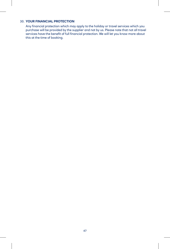#### 30. **YOUR FINANCIAL PROTECTION**

Any financial protection which may apply to the holiday or travel services which you purchase will be provided by the supplier and not by us. Please note that not all travel services have the benefit of full financial protection. We will let you know more about this at the time of booking.